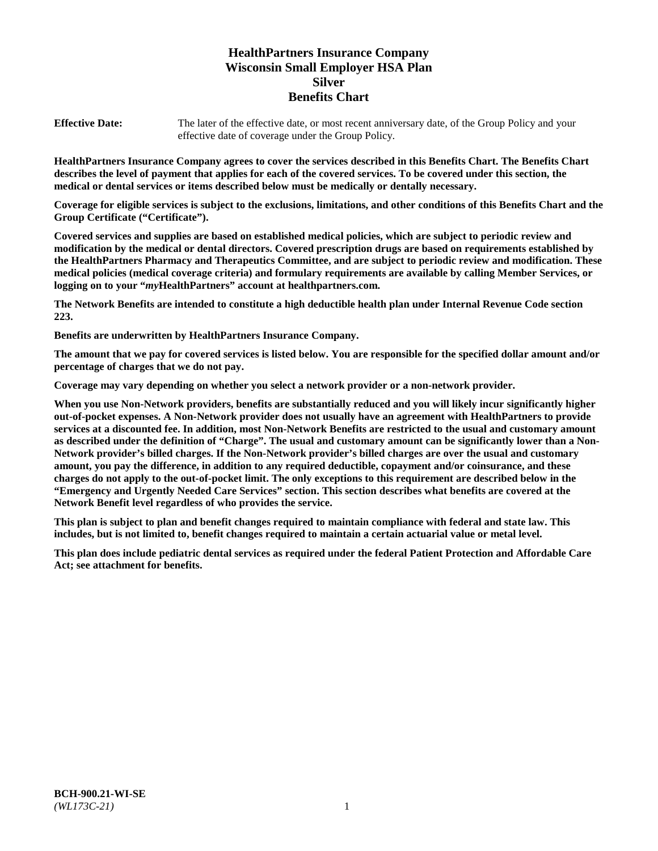# **HealthPartners Insurance Company Wisconsin Small Employer HSA Plan Silver Benefits Chart**

**Effective Date:** The later of the effective date, or most recent anniversary date, of the Group Policy and your effective date of coverage under the Group Policy.

**HealthPartners Insurance Company agrees to cover the services described in this Benefits Chart. The Benefits Chart describes the level of payment that applies for each of the covered services. To be covered under this section, the medical or dental services or items described below must be medically or dentally necessary.**

**Coverage for eligible services is subject to the exclusions, limitations, and other conditions of this Benefits Chart and the Group Certificate ("Certificate").**

**Covered services and supplies are based on established medical policies, which are subject to periodic review and modification by the medical or dental directors. Covered prescription drugs are based on requirements established by the HealthPartners Pharmacy and Therapeutics Committee, and are subject to periodic review and modification. These medical policies (medical coverage criteria) and formulary requirements are available by calling Member Services, or logging on to your "***my***HealthPartners" account at [healthpartners.com.](https://www.healthpartners.com/hp/index.html)**

**The Network Benefits are intended to constitute a high deductible health plan under Internal Revenue Code section 223.**

**Benefits are underwritten by HealthPartners Insurance Company.**

**The amount that we pay for covered services is listed below. You are responsible for the specified dollar amount and/or percentage of charges that we do not pay.**

**Coverage may vary depending on whether you select a network provider or a non-network provider.**

**When you use Non-Network providers, benefits are substantially reduced and you will likely incur significantly higher out-of-pocket expenses. A Non-Network provider does not usually have an agreement with HealthPartners to provide services at a discounted fee. In addition, most Non-Network Benefits are restricted to the usual and customary amount as described under the definition of "Charge". The usual and customary amount can be significantly lower than a Non-Network provider's billed charges. If the Non-Network provider's billed charges are over the usual and customary amount, you pay the difference, in addition to any required deductible, copayment and/or coinsurance, and these charges do not apply to the out-of-pocket limit. The only exceptions to this requirement are described below in the "Emergency and Urgently Needed Care Services" section. This section describes what benefits are covered at the Network Benefit level regardless of who provides the service.**

**This plan is subject to plan and benefit changes required to maintain compliance with federal and state law. This includes, but is not limited to, benefit changes required to maintain a certain actuarial value or metal level.**

**This plan does include pediatric dental services as required under the federal Patient Protection and Affordable Care Act; see attachment for benefits.**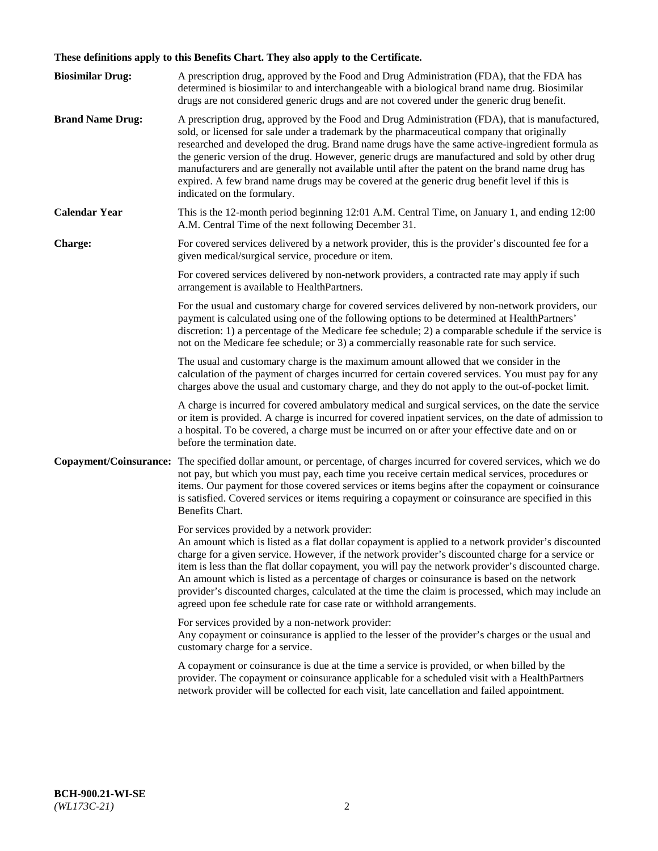# **These definitions apply to this Benefits Chart. They also apply to the Certificate.**

| <b>Biosimilar Drug:</b> | A prescription drug, approved by the Food and Drug Administration (FDA), that the FDA has<br>determined is biosimilar to and interchangeable with a biological brand name drug. Biosimilar<br>drugs are not considered generic drugs and are not covered under the generic drug benefit.                                                                                                                                                                                                                                                                                                                                                     |
|-------------------------|----------------------------------------------------------------------------------------------------------------------------------------------------------------------------------------------------------------------------------------------------------------------------------------------------------------------------------------------------------------------------------------------------------------------------------------------------------------------------------------------------------------------------------------------------------------------------------------------------------------------------------------------|
| <b>Brand Name Drug:</b> | A prescription drug, approved by the Food and Drug Administration (FDA), that is manufactured,<br>sold, or licensed for sale under a trademark by the pharmaceutical company that originally<br>researched and developed the drug. Brand name drugs have the same active-ingredient formula as<br>the generic version of the drug. However, generic drugs are manufactured and sold by other drug<br>manufacturers and are generally not available until after the patent on the brand name drug has<br>expired. A few brand name drugs may be covered at the generic drug benefit level if this is<br>indicated on the formulary.           |
| <b>Calendar Year</b>    | This is the 12-month period beginning 12:01 A.M. Central Time, on January 1, and ending 12:00<br>A.M. Central Time of the next following December 31.                                                                                                                                                                                                                                                                                                                                                                                                                                                                                        |
| <b>Charge:</b>          | For covered services delivered by a network provider, this is the provider's discounted fee for a<br>given medical/surgical service, procedure or item.                                                                                                                                                                                                                                                                                                                                                                                                                                                                                      |
|                         | For covered services delivered by non-network providers, a contracted rate may apply if such<br>arrangement is available to HealthPartners.                                                                                                                                                                                                                                                                                                                                                                                                                                                                                                  |
|                         | For the usual and customary charge for covered services delivered by non-network providers, our<br>payment is calculated using one of the following options to be determined at HealthPartners'<br>discretion: 1) a percentage of the Medicare fee schedule; 2) a comparable schedule if the service is<br>not on the Medicare fee schedule; or 3) a commercially reasonable rate for such service.                                                                                                                                                                                                                                          |
|                         | The usual and customary charge is the maximum amount allowed that we consider in the<br>calculation of the payment of charges incurred for certain covered services. You must pay for any<br>charges above the usual and customary charge, and they do not apply to the out-of-pocket limit.                                                                                                                                                                                                                                                                                                                                                 |
|                         | A charge is incurred for covered ambulatory medical and surgical services, on the date the service<br>or item is provided. A charge is incurred for covered inpatient services, on the date of admission to<br>a hospital. To be covered, a charge must be incurred on or after your effective date and on or<br>before the termination date.                                                                                                                                                                                                                                                                                                |
| Copayment/Coinsurance:  | The specified dollar amount, or percentage, of charges incurred for covered services, which we do<br>not pay, but which you must pay, each time you receive certain medical services, procedures or<br>items. Our payment for those covered services or items begins after the copayment or coinsurance<br>is satisfied. Covered services or items requiring a copayment or coinsurance are specified in this<br>Benefits Chart.                                                                                                                                                                                                             |
|                         | For services provided by a network provider:<br>An amount which is listed as a flat dollar copayment is applied to a network provider's discounted<br>charge for a given service. However, if the network provider's discounted charge for a service or<br>item is less than the flat dollar copayment, you will pay the network provider's discounted charge.<br>An amount which is listed as a percentage of charges or coinsurance is based on the network<br>provider's discounted charges, calculated at the time the claim is processed, which may include an<br>agreed upon fee schedule rate for case rate or withhold arrangements. |
|                         | For services provided by a non-network provider:<br>Any copayment or coinsurance is applied to the lesser of the provider's charges or the usual and<br>customary charge for a service.                                                                                                                                                                                                                                                                                                                                                                                                                                                      |
|                         | A copayment or coinsurance is due at the time a service is provided, or when billed by the<br>provider. The copayment or coinsurance applicable for a scheduled visit with a HealthPartners<br>network provider will be collected for each visit, late cancellation and failed appointment.                                                                                                                                                                                                                                                                                                                                                  |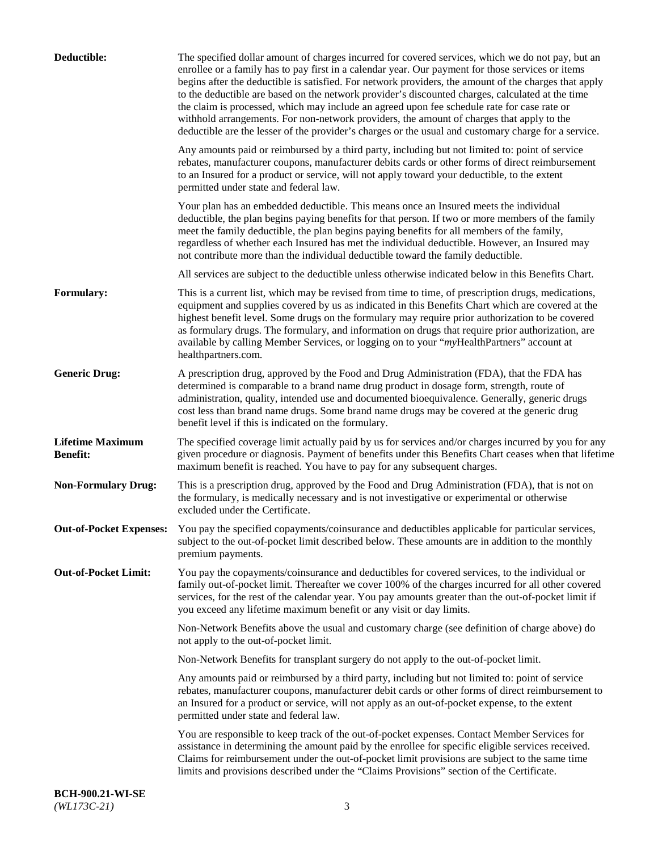| Deductible:                                | The specified dollar amount of charges incurred for covered services, which we do not pay, but an<br>enrollee or a family has to pay first in a calendar year. Our payment for those services or items<br>begins after the deductible is satisfied. For network providers, the amount of the charges that apply<br>to the deductible are based on the network provider's discounted charges, calculated at the time<br>the claim is processed, which may include an agreed upon fee schedule rate for case rate or<br>withhold arrangements. For non-network providers, the amount of charges that apply to the<br>deductible are the lesser of the provider's charges or the usual and customary charge for a service. |
|--------------------------------------------|-------------------------------------------------------------------------------------------------------------------------------------------------------------------------------------------------------------------------------------------------------------------------------------------------------------------------------------------------------------------------------------------------------------------------------------------------------------------------------------------------------------------------------------------------------------------------------------------------------------------------------------------------------------------------------------------------------------------------|
|                                            | Any amounts paid or reimbursed by a third party, including but not limited to: point of service<br>rebates, manufacturer coupons, manufacturer debits cards or other forms of direct reimbursement<br>to an Insured for a product or service, will not apply toward your deductible, to the extent<br>permitted under state and federal law.                                                                                                                                                                                                                                                                                                                                                                            |
|                                            | Your plan has an embedded deductible. This means once an Insured meets the individual<br>deductible, the plan begins paying benefits for that person. If two or more members of the family<br>meet the family deductible, the plan begins paying benefits for all members of the family,<br>regardless of whether each Insured has met the individual deductible. However, an Insured may<br>not contribute more than the individual deductible toward the family deductible.                                                                                                                                                                                                                                           |
|                                            | All services are subject to the deductible unless otherwise indicated below in this Benefits Chart.                                                                                                                                                                                                                                                                                                                                                                                                                                                                                                                                                                                                                     |
| <b>Formulary:</b>                          | This is a current list, which may be revised from time to time, of prescription drugs, medications,<br>equipment and supplies covered by us as indicated in this Benefits Chart which are covered at the<br>highest benefit level. Some drugs on the formulary may require prior authorization to be covered<br>as formulary drugs. The formulary, and information on drugs that require prior authorization, are<br>available by calling Member Services, or logging on to your "myHealthPartners" account at<br>healthpartners.com.                                                                                                                                                                                   |
| <b>Generic Drug:</b>                       | A prescription drug, approved by the Food and Drug Administration (FDA), that the FDA has<br>determined is comparable to a brand name drug product in dosage form, strength, route of<br>administration, quality, intended use and documented bioequivalence. Generally, generic drugs<br>cost less than brand name drugs. Some brand name drugs may be covered at the generic drug<br>benefit level if this is indicated on the formulary.                                                                                                                                                                                                                                                                             |
| <b>Lifetime Maximum</b><br><b>Benefit:</b> | The specified coverage limit actually paid by us for services and/or charges incurred by you for any<br>given procedure or diagnosis. Payment of benefits under this Benefits Chart ceases when that lifetime<br>maximum benefit is reached. You have to pay for any subsequent charges.                                                                                                                                                                                                                                                                                                                                                                                                                                |
| <b>Non-Formulary Drug:</b>                 | This is a prescription drug, approved by the Food and Drug Administration (FDA), that is not on<br>the formulary, is medically necessary and is not investigative or experimental or otherwise<br>excluded under the Certificate.                                                                                                                                                                                                                                                                                                                                                                                                                                                                                       |
|                                            | Out-of-Pocket Expenses: You pay the specified copayments/coinsurance and deductibles applicable for particular services,<br>subject to the out-of-pocket limit described below. These amounts are in addition to the monthly<br>premium payments.                                                                                                                                                                                                                                                                                                                                                                                                                                                                       |
| <b>Out-of-Pocket Limit:</b>                | You pay the copayments/coinsurance and deductibles for covered services, to the individual or<br>family out-of-pocket limit. Thereafter we cover 100% of the charges incurred for all other covered<br>services, for the rest of the calendar year. You pay amounts greater than the out-of-pocket limit if<br>you exceed any lifetime maximum benefit or any visit or day limits.                                                                                                                                                                                                                                                                                                                                      |
|                                            | Non-Network Benefits above the usual and customary charge (see definition of charge above) do<br>not apply to the out-of-pocket limit.                                                                                                                                                                                                                                                                                                                                                                                                                                                                                                                                                                                  |
|                                            | Non-Network Benefits for transplant surgery do not apply to the out-of-pocket limit.                                                                                                                                                                                                                                                                                                                                                                                                                                                                                                                                                                                                                                    |
|                                            | Any amounts paid or reimbursed by a third party, including but not limited to: point of service<br>rebates, manufacturer coupons, manufacturer debit cards or other forms of direct reimbursement to<br>an Insured for a product or service, will not apply as an out-of-pocket expense, to the extent<br>permitted under state and federal law.                                                                                                                                                                                                                                                                                                                                                                        |
|                                            | You are responsible to keep track of the out-of-pocket expenses. Contact Member Services for<br>assistance in determining the amount paid by the enrollee for specific eligible services received.<br>Claims for reimbursement under the out-of-pocket limit provisions are subject to the same time<br>limits and provisions described under the "Claims Provisions" section of the Certificate.                                                                                                                                                                                                                                                                                                                       |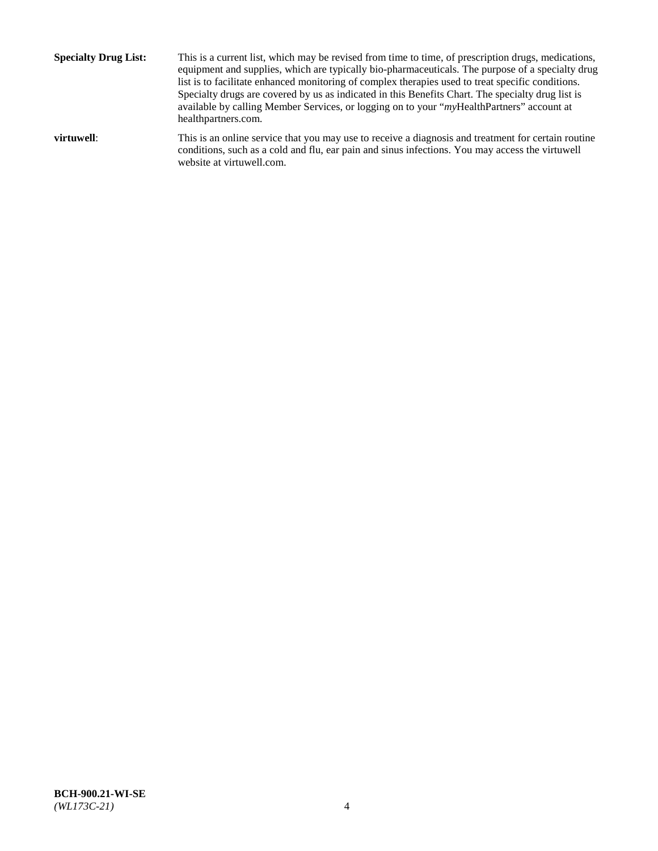**Specialty Drug List:** This is a current list, which may be revised from time to time, of prescription drugs, medications, equipment and supplies, which are typically bio-pharmaceuticals. The purpose of a specialty drug list is to facilitate enhanced monitoring of complex therapies used to treat specific conditions. Specialty drugs are covered by us as indicated in this Benefits Chart. The specialty drug list is available by calling Member Services, or logging on to your "*my*HealthPartners" account at [healthpartners.com.](http://www.healthpartners.com/) **virtuwell:** This is an online service that you may use to receive a diagnosis and treatment for certain routine conditions, such as a cold and flu, ear pain and sinus infections. You may access the virtuwell

website at [virtuwell.com.](http://www.virtuwell.com/)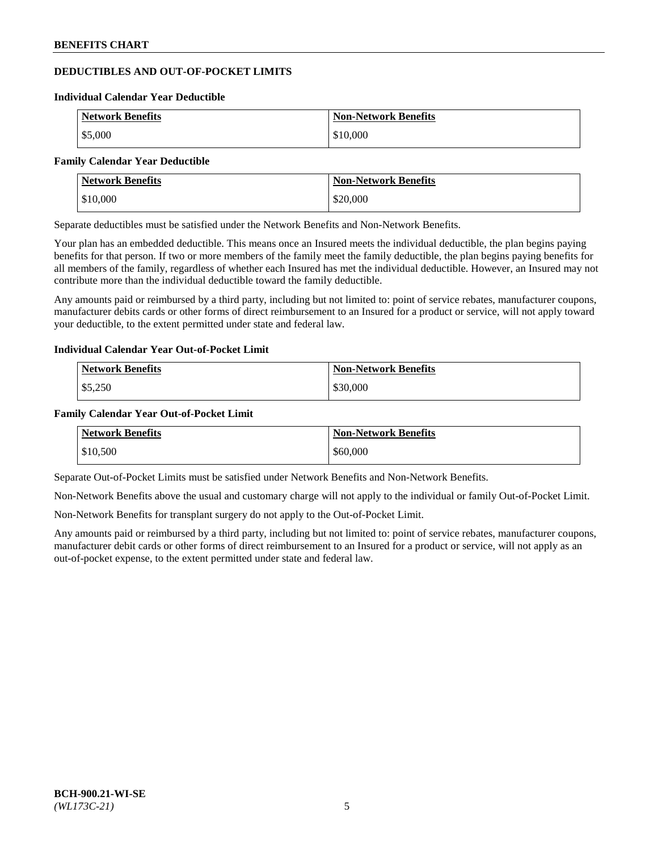## **DEDUCTIBLES AND OUT-OF-POCKET LIMITS**

#### **Individual Calendar Year Deductible**

| <b>Network Benefits</b> | <b>Non-Network Benefits</b> |
|-------------------------|-----------------------------|
| \$5,000                 | \$10,000                    |

#### **Family Calendar Year Deductible**

| <b>Network Benefits</b> | <b>Non-Network Benefits</b> |
|-------------------------|-----------------------------|
| \$10,000                | \$20,000                    |

Separate deductibles must be satisfied under the Network Benefits and Non-Network Benefits.

Your plan has an embedded deductible. This means once an Insured meets the individual deductible, the plan begins paying benefits for that person. If two or more members of the family meet the family deductible, the plan begins paying benefits for all members of the family, regardless of whether each Insured has met the individual deductible. However, an Insured may not contribute more than the individual deductible toward the family deductible.

Any amounts paid or reimbursed by a third party, including but not limited to: point of service rebates, manufacturer coupons, manufacturer debits cards or other forms of direct reimbursement to an Insured for a product or service, will not apply toward your deductible, to the extent permitted under state and federal law.

#### **Individual Calendar Year Out-of-Pocket Limit**

| <b>Network Benefits</b> | <b>Non-Network Benefits</b> |
|-------------------------|-----------------------------|
| \$5,250                 | \$30,000                    |

#### **Family Calendar Year Out-of-Pocket Limit**

| <b>Network Benefits</b> | Non-Network Benefits |
|-------------------------|----------------------|
| \$10,500                | \$60,000             |

Separate Out-of-Pocket Limits must be satisfied under Network Benefits and Non-Network Benefits.

Non-Network Benefits above the usual and customary charge will not apply to the individual or family Out-of-Pocket Limit.

Non-Network Benefits for transplant surgery do not apply to the Out-of-Pocket Limit.

Any amounts paid or reimbursed by a third party, including but not limited to: point of service rebates, manufacturer coupons, manufacturer debit cards or other forms of direct reimbursement to an Insured for a product or service, will not apply as an out-of-pocket expense, to the extent permitted under state and federal law.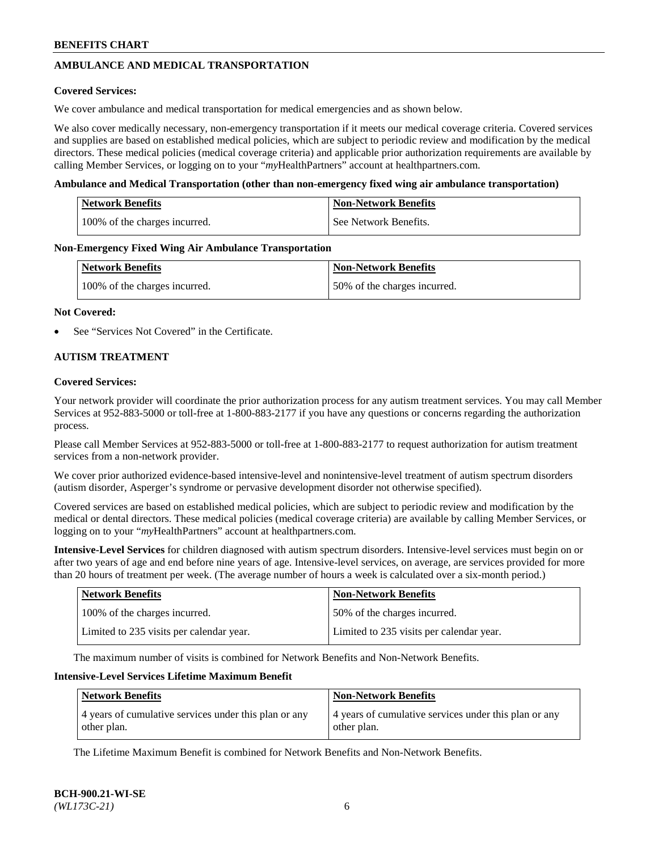## **AMBULANCE AND MEDICAL TRANSPORTATION**

### **Covered Services:**

We cover ambulance and medical transportation for medical emergencies and as shown below.

We also cover medically necessary, non-emergency transportation if it meets our medical coverage criteria. Covered services and supplies are based on established medical policies, which are subject to periodic review and modification by the medical directors. These medical policies (medical coverage criteria) and applicable prior authorization requirements are available by calling Member Services, or logging on to your "*my*HealthPartners" account a[t healthpartners.com.](https://www.healthpartners.com/hp/index.html)

### **Ambulance and Medical Transportation (other than non-emergency fixed wing air ambulance transportation)**

| <b>Network Benefits</b>       | <b>Non-Network Benefits</b> |
|-------------------------------|-----------------------------|
| 100% of the charges incurred. | See Network Benefits.       |

### **Non-Emergency Fixed Wing Air Ambulance Transportation**

| <b>Network Benefits</b>       | <b>Non-Network Benefits</b>  |
|-------------------------------|------------------------------|
| 100% of the charges incurred. | 50% of the charges incurred. |

### **Not Covered:**

See "Services Not Covered" in the Certificate.

### **AUTISM TREATMENT**

### **Covered Services:**

Your network provider will coordinate the prior authorization process for any autism treatment services. You may call Member Services at 952-883-5000 or toll-free at 1-800-883-2177 if you have any questions or concerns regarding the authorization process.

Please call Member Services at 952-883-5000 or toll-free at 1-800-883-2177 to request authorization for autism treatment services from a non-network provider.

We cover prior authorized evidence-based intensive-level and nonintensive-level treatment of autism spectrum disorders (autism disorder, Asperger's syndrome or pervasive development disorder not otherwise specified).

Covered services are based on established medical policies, which are subject to periodic review and modification by the medical or dental directors. These medical policies (medical coverage criteria) are available by calling Member Services, or logging on to your "*my*HealthPartners" account at [healthpartners.com.](https://www.healthpartners.com/hp/index.html)

**Intensive-Level Services** for children diagnosed with autism spectrum disorders. Intensive-level services must begin on or after two years of age and end before nine years of age. Intensive-level services, on average, are services provided for more than 20 hours of treatment per week. (The average number of hours a week is calculated over a six-month period.)

| <b>Network Benefits</b>                  | <b>Non-Network Benefits</b>              |
|------------------------------------------|------------------------------------------|
| 100% of the charges incurred.            | 50% of the charges incurred.             |
| Limited to 235 visits per calendar year. | Limited to 235 visits per calendar year. |

The maximum number of visits is combined for Network Benefits and Non-Network Benefits.

### **Intensive-Level Services Lifetime Maximum Benefit**

| Network Benefits                                      | <b>Non-Network Benefits</b>                           |
|-------------------------------------------------------|-------------------------------------------------------|
| 4 years of cumulative services under this plan or any | 4 years of cumulative services under this plan or any |
| other plan.                                           | other plan.                                           |

The Lifetime Maximum Benefit is combined for Network Benefits and Non-Network Benefits.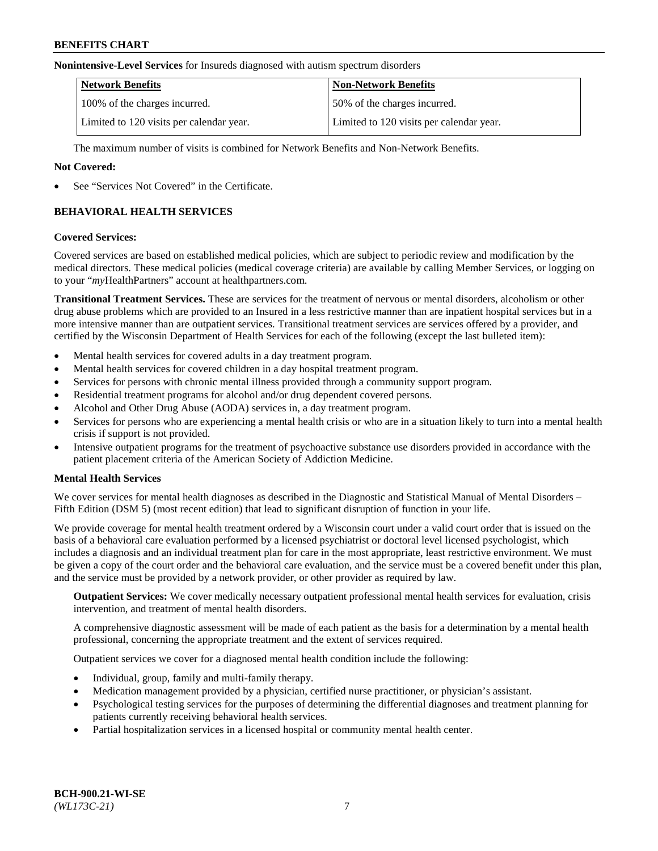#### **Nonintensive-Level Services** for Insureds diagnosed with autism spectrum disorders

| <b>Network Benefits</b>                  | <b>Non-Network Benefits</b>              |
|------------------------------------------|------------------------------------------|
| 100% of the charges incurred.            | 50% of the charges incurred.             |
| Limited to 120 visits per calendar year. | Limited to 120 visits per calendar year. |

The maximum number of visits is combined for Network Benefits and Non-Network Benefits.

### **Not Covered:**

See "Services Not Covered" in the Certificate.

## **BEHAVIORAL HEALTH SERVICES**

### **Covered Services:**

Covered services are based on established medical policies, which are subject to periodic review and modification by the medical directors. These medical policies (medical coverage criteria) are available by calling Member Services, or logging on to your "*my*HealthPartners" account at [healthpartners.com.](https://www.healthpartners.com/hp/index.html)

**Transitional Treatment Services.** These are services for the treatment of nervous or mental disorders, alcoholism or other drug abuse problems which are provided to an Insured in a less restrictive manner than are inpatient hospital services but in a more intensive manner than are outpatient services. Transitional treatment services are services offered by a provider, and certified by the Wisconsin Department of Health Services for each of the following (except the last bulleted item):

- Mental health services for covered adults in a day treatment program.
- Mental health services for covered children in a day hospital treatment program.
- Services for persons with chronic mental illness provided through a community support program.
- Residential treatment programs for alcohol and/or drug dependent covered persons.
- Alcohol and Other Drug Abuse (AODA) services in, a day treatment program.
- Services for persons who are experiencing a mental health crisis or who are in a situation likely to turn into a mental health crisis if support is not provided.
- Intensive outpatient programs for the treatment of psychoactive substance use disorders provided in accordance with the patient placement criteria of the American Society of Addiction Medicine.

### **Mental Health Services**

We cover services for mental health diagnoses as described in the Diagnostic and Statistical Manual of Mental Disorders – Fifth Edition (DSM 5) (most recent edition) that lead to significant disruption of function in your life.

We provide coverage for mental health treatment ordered by a Wisconsin court under a valid court order that is issued on the basis of a behavioral care evaluation performed by a licensed psychiatrist or doctoral level licensed psychologist, which includes a diagnosis and an individual treatment plan for care in the most appropriate, least restrictive environment. We must be given a copy of the court order and the behavioral care evaluation, and the service must be a covered benefit under this plan, and the service must be provided by a network provider, or other provider as required by law.

**Outpatient Services:** We cover medically necessary outpatient professional mental health services for evaluation, crisis intervention, and treatment of mental health disorders.

A comprehensive diagnostic assessment will be made of each patient as the basis for a determination by a mental health professional, concerning the appropriate treatment and the extent of services required.

Outpatient services we cover for a diagnosed mental health condition include the following:

- Individual, group, family and multi-family therapy.
- Medication management provided by a physician, certified nurse practitioner, or physician's assistant.
- Psychological testing services for the purposes of determining the differential diagnoses and treatment planning for patients currently receiving behavioral health services.
- Partial hospitalization services in a licensed hospital or community mental health center.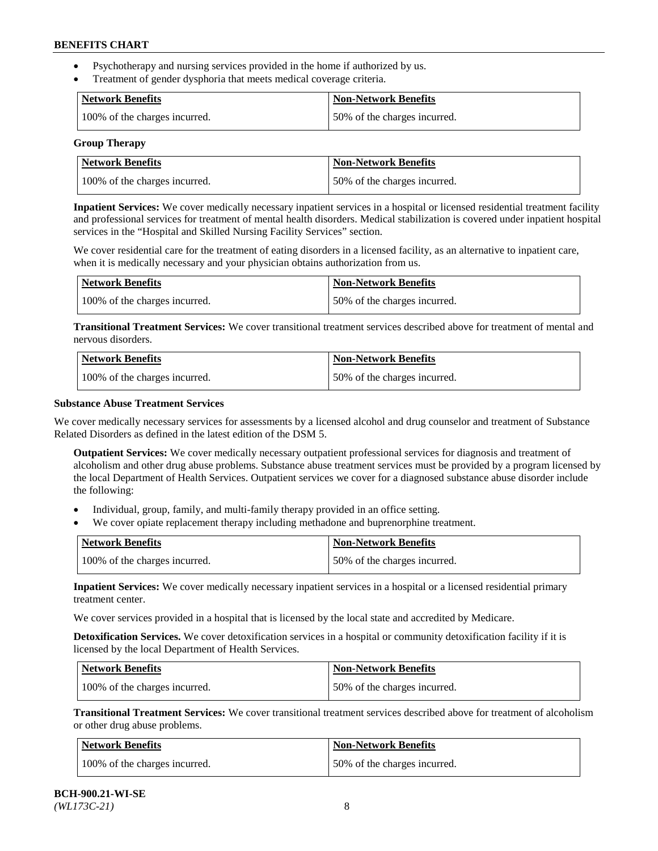- Psychotherapy and nursing services provided in the home if authorized by us.
- Treatment of gender dysphoria that meets medical coverage criteria.

| Network Benefits              | <b>Non-Network Benefits</b>  |
|-------------------------------|------------------------------|
| 100% of the charges incurred. | 50% of the charges incurred. |

#### **Group Therapy**

| Network Benefits              | <b>Non-Network Benefits</b>  |
|-------------------------------|------------------------------|
| 100% of the charges incurred. | 50% of the charges incurred. |

**Inpatient Services:** We cover medically necessary inpatient services in a hospital or licensed residential treatment facility and professional services for treatment of mental health disorders. Medical stabilization is covered under inpatient hospital services in the "Hospital and Skilled Nursing Facility Services" section.

We cover residential care for the treatment of eating disorders in a licensed facility, as an alternative to inpatient care, when it is medically necessary and your physician obtains authorization from us.

| <b>Network Benefits</b>       | <b>Non-Network Benefits</b>  |
|-------------------------------|------------------------------|
| 100% of the charges incurred. | 50% of the charges incurred. |

**Transitional Treatment Services:** We cover transitional treatment services described above for treatment of mental and nervous disorders.

| <b>Network Benefits</b>       | <b>Non-Network Benefits</b>  |
|-------------------------------|------------------------------|
| 100% of the charges incurred. | 50% of the charges incurred. |

### **Substance Abuse Treatment Services**

We cover medically necessary services for assessments by a licensed alcohol and drug counselor and treatment of Substance Related Disorders as defined in the latest edition of the DSM 5.

**Outpatient Services:** We cover medically necessary outpatient professional services for diagnosis and treatment of alcoholism and other drug abuse problems. Substance abuse treatment services must be provided by a program licensed by the local Department of Health Services. Outpatient services we cover for a diagnosed substance abuse disorder include the following:

- Individual, group, family, and multi-family therapy provided in an office setting.
- We cover opiate replacement therapy including methadone and buprenorphine treatment.

| <b>Network Benefits</b>       | <b>Non-Network Benefits</b>  |
|-------------------------------|------------------------------|
| 100% of the charges incurred. | 50% of the charges incurred. |

**Inpatient Services:** We cover medically necessary inpatient services in a hospital or a licensed residential primary treatment center.

We cover services provided in a hospital that is licensed by the local state and accredited by Medicare.

**Detoxification Services.** We cover detoxification services in a hospital or community detoxification facility if it is licensed by the local Department of Health Services.

| Network Benefits              | <b>Non-Network Benefits</b>  |
|-------------------------------|------------------------------|
| 100% of the charges incurred. | 50% of the charges incurred. |

**Transitional Treatment Services:** We cover transitional treatment services described above for treatment of alcoholism or other drug abuse problems.

| Network Benefits              | <b>Non-Network Benefits</b>  |
|-------------------------------|------------------------------|
| 100% of the charges incurred. | 50% of the charges incurred. |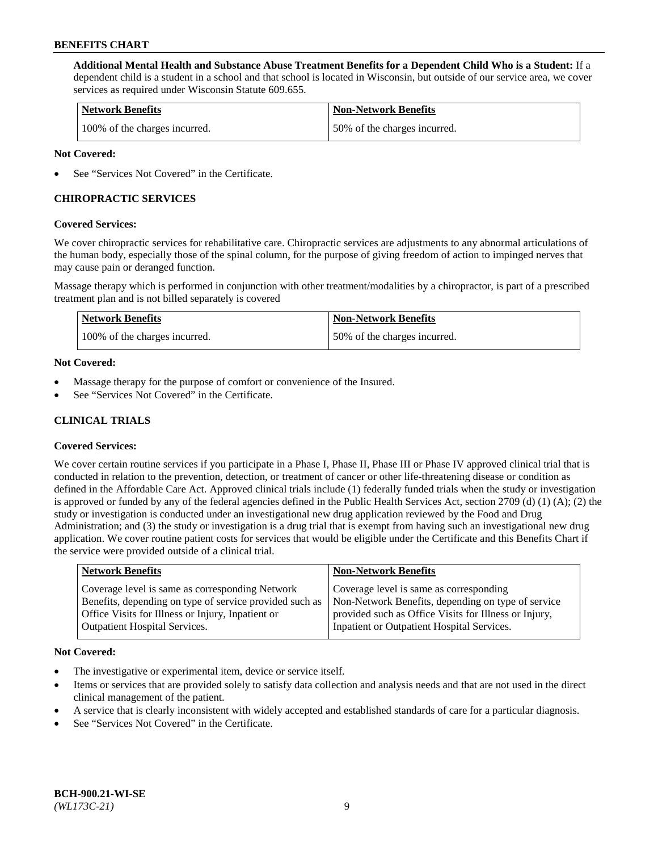**Additional Mental Health and Substance Abuse Treatment Benefits for a Dependent Child Who is a Student:** If a dependent child is a student in a school and that school is located in Wisconsin, but outside of our service area, we cover services as required under Wisconsin Statute 609.655.

| <b>Network Benefits</b>       | <b>Non-Network Benefits</b>  |
|-------------------------------|------------------------------|
| 100% of the charges incurred. | 50% of the charges incurred. |

### **Not Covered:**

See "Services Not Covered" in the Certificate.

## **CHIROPRACTIC SERVICES**

### **Covered Services:**

We cover chiropractic services for rehabilitative care. Chiropractic services are adjustments to any abnormal articulations of the human body, especially those of the spinal column, for the purpose of giving freedom of action to impinged nerves that may cause pain or deranged function.

Massage therapy which is performed in conjunction with other treatment/modalities by a chiropractor, is part of a prescribed treatment plan and is not billed separately is covered

| <b>Network Benefits</b>       | <b>Non-Network Benefits</b>  |
|-------------------------------|------------------------------|
| 100% of the charges incurred. | 50% of the charges incurred. |

### **Not Covered:**

- Massage therapy for the purpose of comfort or convenience of the Insured.
- See "Services Not Covered" in the Certificate.

## **CLINICAL TRIALS**

### **Covered Services:**

We cover certain routine services if you participate in a Phase I, Phase II, Phase III or Phase IV approved clinical trial that is conducted in relation to the prevention, detection, or treatment of cancer or other life-threatening disease or condition as defined in the Affordable Care Act. Approved clinical trials include (1) federally funded trials when the study or investigation is approved or funded by any of the federal agencies defined in the Public Health Services Act, section 2709 (d) (1) (A); (2) the study or investigation is conducted under an investigational new drug application reviewed by the Food and Drug Administration; and (3) the study or investigation is a drug trial that is exempt from having such an investigational new drug application. We cover routine patient costs for services that would be eligible under the Certificate and this Benefits Chart if the service were provided outside of a clinical trial.

| <b>Network Benefits</b>                                                                                                                                                                                 | <b>Non-Network Benefits</b>                                                                                                                                                                          |
|---------------------------------------------------------------------------------------------------------------------------------------------------------------------------------------------------------|------------------------------------------------------------------------------------------------------------------------------------------------------------------------------------------------------|
| Coverage level is same as corresponding Network<br>Benefits, depending on type of service provided such as<br>Office Visits for Illness or Injury, Inpatient or<br><b>Outpatient Hospital Services.</b> | Coverage level is same as corresponding<br>Non-Network Benefits, depending on type of service<br>provided such as Office Visits for Illness or Injury,<br>Inpatient or Outpatient Hospital Services. |
|                                                                                                                                                                                                         |                                                                                                                                                                                                      |

#### **Not Covered:**

- The investigative or experimental item, device or service itself.
- Items or services that are provided solely to satisfy data collection and analysis needs and that are not used in the direct clinical management of the patient.
- A service that is clearly inconsistent with widely accepted and established standards of care for a particular diagnosis.
- See "Services Not Covered" in the Certificate.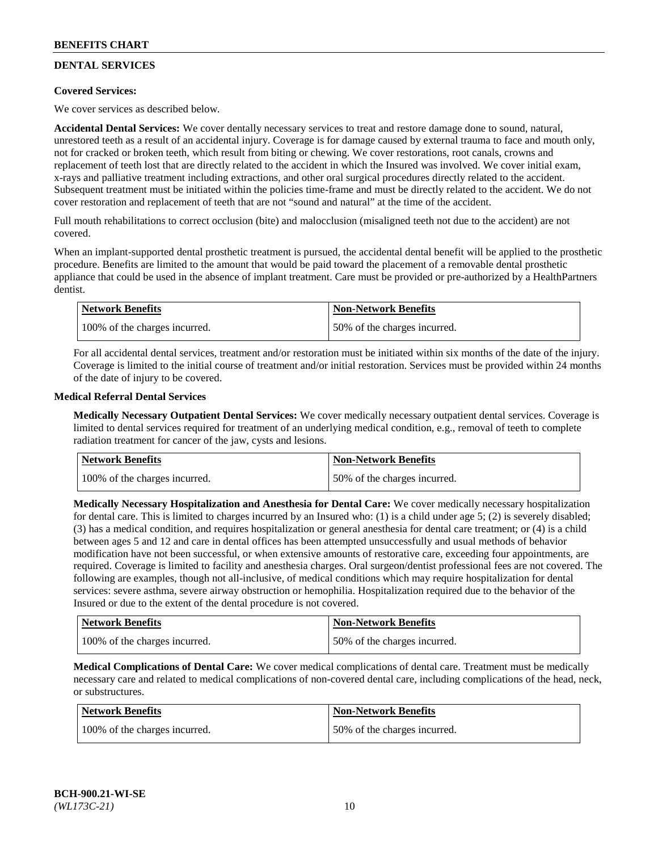## **DENTAL SERVICES**

### **Covered Services:**

We cover services as described below.

**Accidental Dental Services:** We cover dentally necessary services to treat and restore damage done to sound, natural, unrestored teeth as a result of an accidental injury. Coverage is for damage caused by external trauma to face and mouth only, not for cracked or broken teeth, which result from biting or chewing. We cover restorations, root canals, crowns and replacement of teeth lost that are directly related to the accident in which the Insured was involved. We cover initial exam, x-rays and palliative treatment including extractions, and other oral surgical procedures directly related to the accident. Subsequent treatment must be initiated within the policies time-frame and must be directly related to the accident. We do not cover restoration and replacement of teeth that are not "sound and natural" at the time of the accident.

Full mouth rehabilitations to correct occlusion (bite) and malocclusion (misaligned teeth not due to the accident) are not covered.

When an implant-supported dental prosthetic treatment is pursued, the accidental dental benefit will be applied to the prosthetic procedure. Benefits are limited to the amount that would be paid toward the placement of a removable dental prosthetic appliance that could be used in the absence of implant treatment. Care must be provided or pre-authorized by a HealthPartners dentist.

| <b>Network Benefits</b>       | <b>Non-Network Benefits</b>  |
|-------------------------------|------------------------------|
| 100% of the charges incurred. | 50% of the charges incurred. |

For all accidental dental services, treatment and/or restoration must be initiated within six months of the date of the injury. Coverage is limited to the initial course of treatment and/or initial restoration. Services must be provided within 24 months of the date of injury to be covered.

### **Medical Referral Dental Services**

**Medically Necessary Outpatient Dental Services:** We cover medically necessary outpatient dental services. Coverage is limited to dental services required for treatment of an underlying medical condition, e.g., removal of teeth to complete radiation treatment for cancer of the jaw, cysts and lesions.

| <b>Network Benefits</b>       | <b>Non-Network Benefits</b>  |
|-------------------------------|------------------------------|
| 100% of the charges incurred. | 50% of the charges incurred. |

**Medically Necessary Hospitalization and Anesthesia for Dental Care:** We cover medically necessary hospitalization for dental care. This is limited to charges incurred by an Insured who: (1) is a child under age  $5$ ; (2) is severely disabled; (3) has a medical condition, and requires hospitalization or general anesthesia for dental care treatment; or (4) is a child between ages 5 and 12 and care in dental offices has been attempted unsuccessfully and usual methods of behavior modification have not been successful, or when extensive amounts of restorative care, exceeding four appointments, are required. Coverage is limited to facility and anesthesia charges. Oral surgeon/dentist professional fees are not covered. The following are examples, though not all-inclusive, of medical conditions which may require hospitalization for dental services: severe asthma, severe airway obstruction or hemophilia. Hospitalization required due to the behavior of the Insured or due to the extent of the dental procedure is not covered.

| Network Benefits              | <b>Non-Network Benefits</b>  |
|-------------------------------|------------------------------|
| 100% of the charges incurred. | 50% of the charges incurred. |

**Medical Complications of Dental Care:** We cover medical complications of dental care. Treatment must be medically necessary care and related to medical complications of non-covered dental care, including complications of the head, neck, or substructures.

| Network Benefits              | <b>Non-Network Benefits</b>  |
|-------------------------------|------------------------------|
| 100% of the charges incurred. | 50% of the charges incurred. |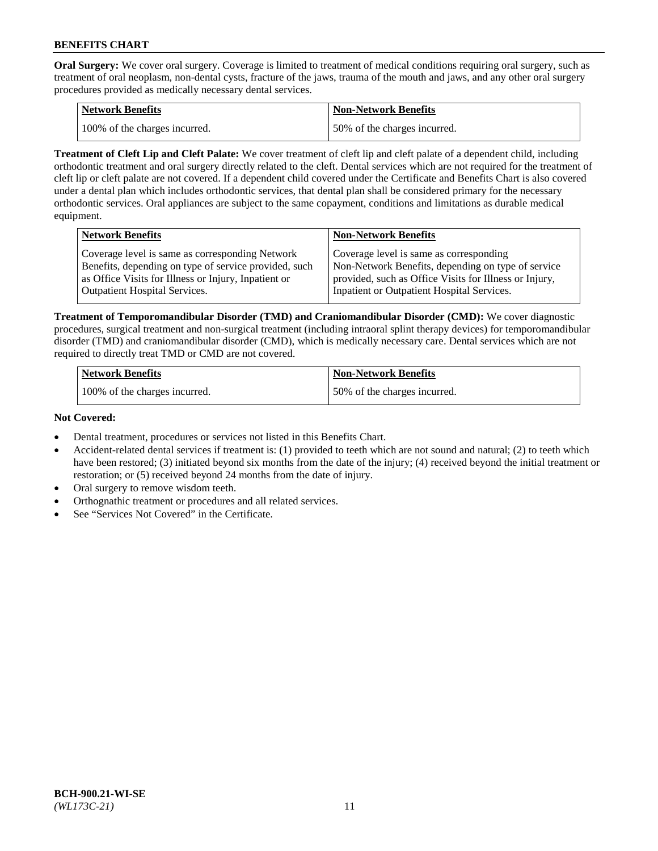**Oral Surgery:** We cover oral surgery. Coverage is limited to treatment of medical conditions requiring oral surgery, such as treatment of oral neoplasm, non-dental cysts, fracture of the jaws, trauma of the mouth and jaws, and any other oral surgery procedures provided as medically necessary dental services.

| <b>Network Benefits</b>       | Non-Network Benefits         |
|-------------------------------|------------------------------|
| 100% of the charges incurred. | 50% of the charges incurred. |

**Treatment of Cleft Lip and Cleft Palate:** We cover treatment of cleft lip and cleft palate of a dependent child, including orthodontic treatment and oral surgery directly related to the cleft. Dental services which are not required for the treatment of cleft lip or cleft palate are not covered. If a dependent child covered under the Certificate and Benefits Chart is also covered under a dental plan which includes orthodontic services, that dental plan shall be considered primary for the necessary orthodontic services. Oral appliances are subject to the same copayment, conditions and limitations as durable medical equipment.

| <b>Network Benefits</b>                               | <b>Non-Network Benefits</b>                            |
|-------------------------------------------------------|--------------------------------------------------------|
| Coverage level is same as corresponding Network       | Coverage level is same as corresponding                |
| Benefits, depending on type of service provided, such | Non-Network Benefits, depending on type of service     |
| as Office Visits for Illness or Injury, Inpatient or  | provided, such as Office Visits for Illness or Injury, |
| Outpatient Hospital Services.                         | Inpatient or Outpatient Hospital Services.             |

**Treatment of Temporomandibular Disorder (TMD) and Craniomandibular Disorder (CMD):** We cover diagnostic procedures, surgical treatment and non-surgical treatment (including intraoral splint therapy devices) for temporomandibular disorder (TMD) and craniomandibular disorder (CMD), which is medically necessary care. Dental services which are not required to directly treat TMD or CMD are not covered.

| <b>Network Benefits</b>       | <b>Non-Network Benefits</b>  |
|-------------------------------|------------------------------|
| 100% of the charges incurred. | 50% of the charges incurred. |

### **Not Covered:**

- Dental treatment, procedures or services not listed in this Benefits Chart.
- Accident-related dental services if treatment is: (1) provided to teeth which are not sound and natural; (2) to teeth which have been restored; (3) initiated beyond six months from the date of the injury; (4) received beyond the initial treatment or restoration; or (5) received beyond 24 months from the date of injury.
- Oral surgery to remove wisdom teeth.
- Orthognathic treatment or procedures and all related services.
- See "Services Not Covered" in the Certificate.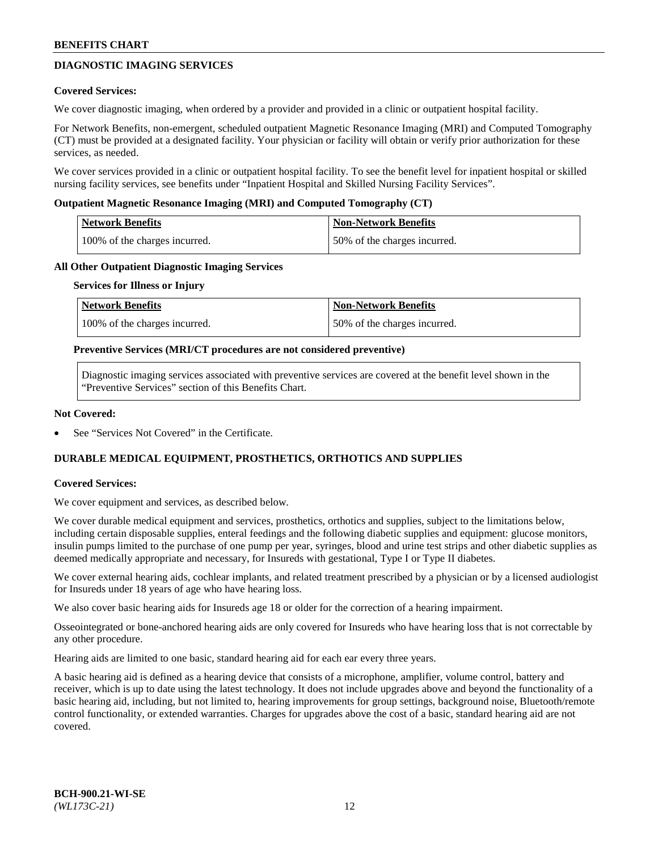## **DIAGNOSTIC IMAGING SERVICES**

### **Covered Services:**

We cover diagnostic imaging, when ordered by a provider and provided in a clinic or outpatient hospital facility.

For Network Benefits, non-emergent, scheduled outpatient Magnetic Resonance Imaging (MRI) and Computed Tomography (CT) must be provided at a designated facility. Your physician or facility will obtain or verify prior authorization for these services, as needed.

We cover services provided in a clinic or outpatient hospital facility. To see the benefit level for inpatient hospital or skilled nursing facility services, see benefits under "Inpatient Hospital and Skilled Nursing Facility Services".

### **Outpatient Magnetic Resonance Imaging (MRI) and Computed Tomography (CT)**

| <b>Network Benefits</b>       | <b>Non-Network Benefits</b>  |
|-------------------------------|------------------------------|
| 100% of the charges incurred. | 50% of the charges incurred. |

### **All Other Outpatient Diagnostic Imaging Services**

#### **Services for Illness or Injury**

| Network Benefits              | <b>Non-Network Benefits</b>  |
|-------------------------------|------------------------------|
| 100% of the charges incurred. | 50% of the charges incurred. |

### **Preventive Services (MRI/CT procedures are not considered preventive)**

Diagnostic imaging services associated with preventive services are covered at the benefit level shown in the "Preventive Services" section of this Benefits Chart.

### **Not Covered:**

See "Services Not Covered" in the Certificate.

## **DURABLE MEDICAL EQUIPMENT, PROSTHETICS, ORTHOTICS AND SUPPLIES**

#### **Covered Services:**

We cover equipment and services, as described below.

We cover durable medical equipment and services, prosthetics, orthotics and supplies, subject to the limitations below, including certain disposable supplies, enteral feedings and the following diabetic supplies and equipment: glucose monitors, insulin pumps limited to the purchase of one pump per year, syringes, blood and urine test strips and other diabetic supplies as deemed medically appropriate and necessary, for Insureds with gestational, Type I or Type II diabetes.

We cover external hearing aids, cochlear implants, and related treatment prescribed by a physician or by a licensed audiologist for Insureds under 18 years of age who have hearing loss.

We also cover basic hearing aids for Insureds age 18 or older for the correction of a hearing impairment.

Osseointegrated or bone-anchored hearing aids are only covered for Insureds who have hearing loss that is not correctable by any other procedure.

Hearing aids are limited to one basic, standard hearing aid for each ear every three years.

A basic hearing aid is defined as a hearing device that consists of a microphone, amplifier, volume control, battery and receiver, which is up to date using the latest technology. It does not include upgrades above and beyond the functionality of a basic hearing aid, including, but not limited to, hearing improvements for group settings, background noise, Bluetooth/remote control functionality, or extended warranties. Charges for upgrades above the cost of a basic, standard hearing aid are not covered.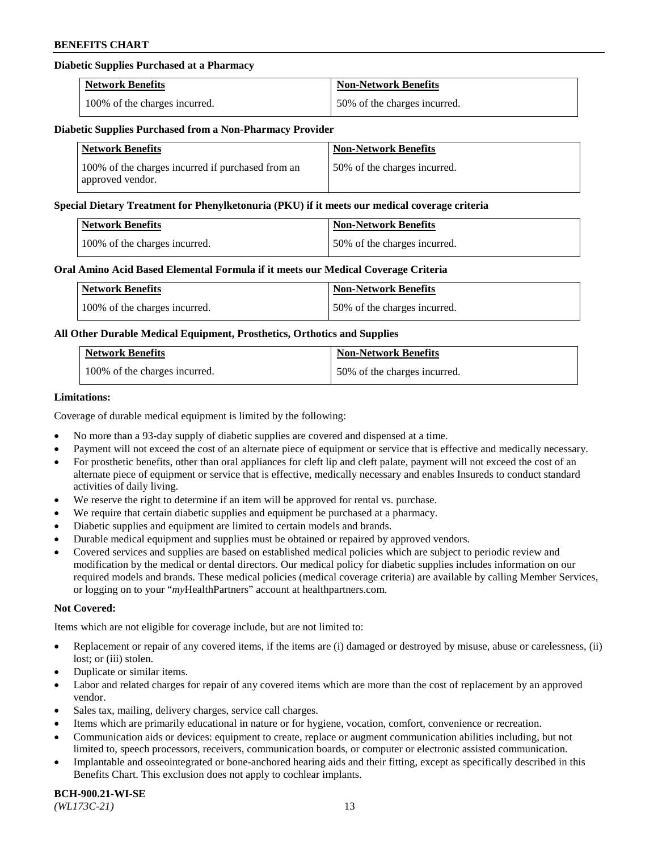### **Diabetic Supplies Purchased at a Pharmacy**

| <b>Network Benefits</b>       | <b>Non-Network Benefits</b>  |
|-------------------------------|------------------------------|
| 100% of the charges incurred. | 50% of the charges incurred. |

### **Diabetic Supplies Purchased from a Non-Pharmacy Provider**

| <b>Network Benefits</b>                                               | <b>Non-Network Benefits</b>  |
|-----------------------------------------------------------------------|------------------------------|
| 100% of the charges incurred if purchased from an<br>approved vendor. | 50% of the charges incurred. |

#### **Special Dietary Treatment for Phenylketonuria (PKU) if it meets our medical coverage criteria**

| Network Benefits              | <b>Non-Network Benefits</b>  |
|-------------------------------|------------------------------|
| 100% of the charges incurred. | 50% of the charges incurred. |

### **Oral Amino Acid Based Elemental Formula if it meets our Medical Coverage Criteria**

| <b>Network Benefits</b>       | <b>Non-Network Benefits</b>  |
|-------------------------------|------------------------------|
| 100% of the charges incurred. | 50% of the charges incurred. |

### **All Other Durable Medical Equipment, Prosthetics, Orthotics and Supplies**

| <b>Network Benefits</b>       | <b>Non-Network Benefits</b>  |
|-------------------------------|------------------------------|
| 100% of the charges incurred. | 50% of the charges incurred. |

### **Limitations:**

Coverage of durable medical equipment is limited by the following:

- No more than a 93-day supply of diabetic supplies are covered and dispensed at a time.
- Payment will not exceed the cost of an alternate piece of equipment or service that is effective and medically necessary.
- For prosthetic benefits, other than oral appliances for cleft lip and cleft palate, payment will not exceed the cost of an alternate piece of equipment or service that is effective, medically necessary and enables Insureds to conduct standard activities of daily living.
- We reserve the right to determine if an item will be approved for rental vs. purchase.
- We require that certain diabetic supplies and equipment be purchased at a pharmacy.
- Diabetic supplies and equipment are limited to certain models and brands.
- Durable medical equipment and supplies must be obtained or repaired by approved vendors.
- Covered services and supplies are based on established medical policies which are subject to periodic review and modification by the medical or dental directors. Our medical policy for diabetic supplies includes information on our required models and brands. These medical policies (medical coverage criteria) are available by calling Member Services, or logging on to your "*my*HealthPartners" account a[t healthpartners.com.](https://www.healthpartners.com/hp/index.html)

### **Not Covered:**

Items which are not eligible for coverage include, but are not limited to:

- Replacement or repair of any covered items, if the items are (i) damaged or destroyed by misuse, abuse or carelessness, (ii) lost; or (iii) stolen.
- Duplicate or similar items.
- Labor and related charges for repair of any covered items which are more than the cost of replacement by an approved vendor.
- Sales tax, mailing, delivery charges, service call charges.
- Items which are primarily educational in nature or for hygiene, vocation, comfort, convenience or recreation.
- Communication aids or devices: equipment to create, replace or augment communication abilities including, but not limited to, speech processors, receivers, communication boards, or computer or electronic assisted communication.
- Implantable and osseointegrated or bone-anchored hearing aids and their fitting, except as specifically described in this Benefits Chart. This exclusion does not apply to cochlear implants.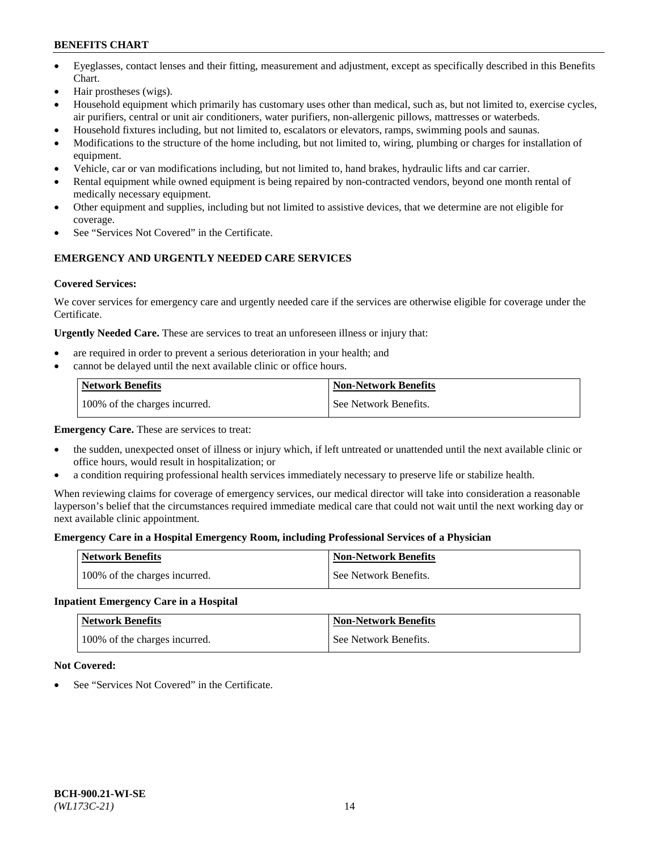- Eyeglasses, contact lenses and their fitting, measurement and adjustment, except as specifically described in this Benefits Chart.
- Hair prostheses (wigs).
- Household equipment which primarily has customary uses other than medical, such as, but not limited to, exercise cycles, air purifiers, central or unit air conditioners, water purifiers, non-allergenic pillows, mattresses or waterbeds.
- Household fixtures including, but not limited to, escalators or elevators, ramps, swimming pools and saunas.
- Modifications to the structure of the home including, but not limited to, wiring, plumbing or charges for installation of equipment.
- Vehicle, car or van modifications including, but not limited to, hand brakes, hydraulic lifts and car carrier.
- Rental equipment while owned equipment is being repaired by non-contracted vendors, beyond one month rental of medically necessary equipment.
- Other equipment and supplies, including but not limited to assistive devices, that we determine are not eligible for coverage.
- See "Services Not Covered" in the Certificate.

## **EMERGENCY AND URGENTLY NEEDED CARE SERVICES**

### **Covered Services:**

We cover services for emergency care and urgently needed care if the services are otherwise eligible for coverage under the Certificate.

**Urgently Needed Care.** These are services to treat an unforeseen illness or injury that:

- are required in order to prevent a serious deterioration in your health; and
- cannot be delayed until the next available clinic or office hours.

| <b>Network Benefits</b>       | <b>Non-Network Benefits</b> |
|-------------------------------|-----------------------------|
| 100% of the charges incurred. | See Network Benefits.       |

**Emergency Care.** These are services to treat:

- the sudden, unexpected onset of illness or injury which, if left untreated or unattended until the next available clinic or office hours, would result in hospitalization; or
- a condition requiring professional health services immediately necessary to preserve life or stabilize health.

When reviewing claims for coverage of emergency services, our medical director will take into consideration a reasonable layperson's belief that the circumstances required immediate medical care that could not wait until the next working day or next available clinic appointment.

### **Emergency Care in a Hospital Emergency Room, including Professional Services of a Physician**

| <b>Network Benefits</b>       | <b>Non-Network Benefits</b> |
|-------------------------------|-----------------------------|
| 100% of the charges incurred. | See Network Benefits.       |

## **Inpatient Emergency Care in a Hospital**

| <b>Network Benefits</b>       | <b>Non-Network Benefits</b> |
|-------------------------------|-----------------------------|
| 100% of the charges incurred. | See Network Benefits.       |

### **Not Covered:**

See "Services Not Covered" in the Certificate.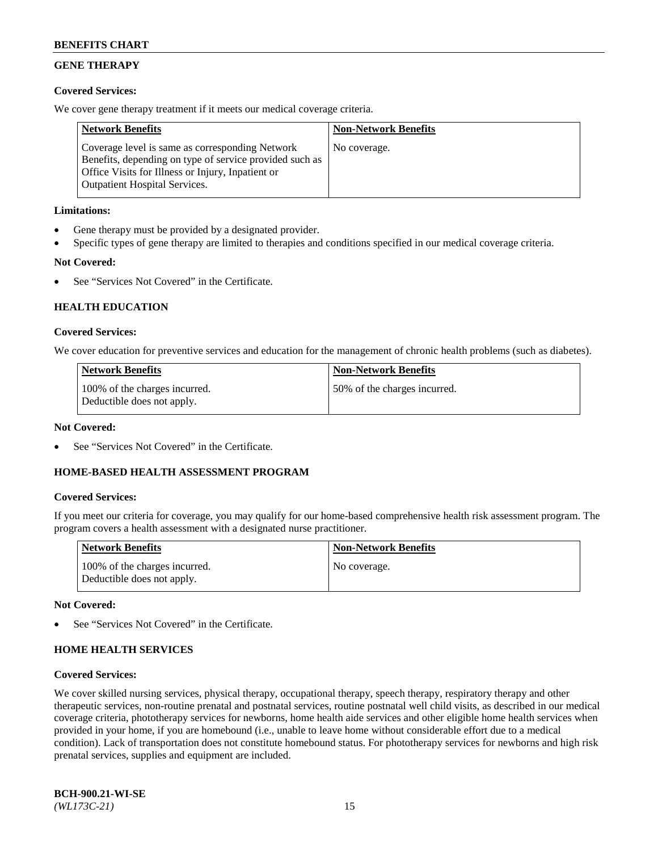## **GENE THERAPY**

### **Covered Services:**

We cover gene therapy treatment if it meets our medical coverage criteria.

| <b>Network Benefits</b>                                                                                                                                                                                 | <b>Non-Network Benefits</b> |
|---------------------------------------------------------------------------------------------------------------------------------------------------------------------------------------------------------|-----------------------------|
| Coverage level is same as corresponding Network<br>Benefits, depending on type of service provided such as<br>Office Visits for Illness or Injury, Inpatient or<br><b>Outpatient Hospital Services.</b> | No coverage.                |

### **Limitations:**

- Gene therapy must be provided by a designated provider.
- Specific types of gene therapy are limited to therapies and conditions specified in our medical coverage criteria.

## **Not Covered:**

See "Services Not Covered" in the Certificate.

### **HEALTH EDUCATION**

### **Covered Services:**

We cover education for preventive services and education for the management of chronic health problems (such as diabetes).

| <b>Network Benefits</b>                                     | <b>Non-Network Benefits</b>  |
|-------------------------------------------------------------|------------------------------|
| 100% of the charges incurred.<br>Deductible does not apply. | 50% of the charges incurred. |

#### **Not Covered:**

See "Services Not Covered" in the Certificate.

### **HOME-BASED HEALTH ASSESSMENT PROGRAM**

#### **Covered Services:**

If you meet our criteria for coverage, you may qualify for our home-based comprehensive health risk assessment program. The program covers a health assessment with a designated nurse practitioner.

| Network Benefits                                            | <b>Non-Network Benefits</b> |
|-------------------------------------------------------------|-----------------------------|
| 100% of the charges incurred.<br>Deductible does not apply. | No coverage.                |

#### **Not Covered:**

See "Services Not Covered" in the Certificate.

### **HOME HEALTH SERVICES**

#### **Covered Services:**

We cover skilled nursing services, physical therapy, occupational therapy, speech therapy, respiratory therapy and other therapeutic services, non-routine prenatal and postnatal services, routine postnatal well child visits, as described in our medical coverage criteria, phototherapy services for newborns, home health aide services and other eligible home health services when provided in your home, if you are homebound (i.e., unable to leave home without considerable effort due to a medical condition). Lack of transportation does not constitute homebound status. For phototherapy services for newborns and high risk prenatal services, supplies and equipment are included.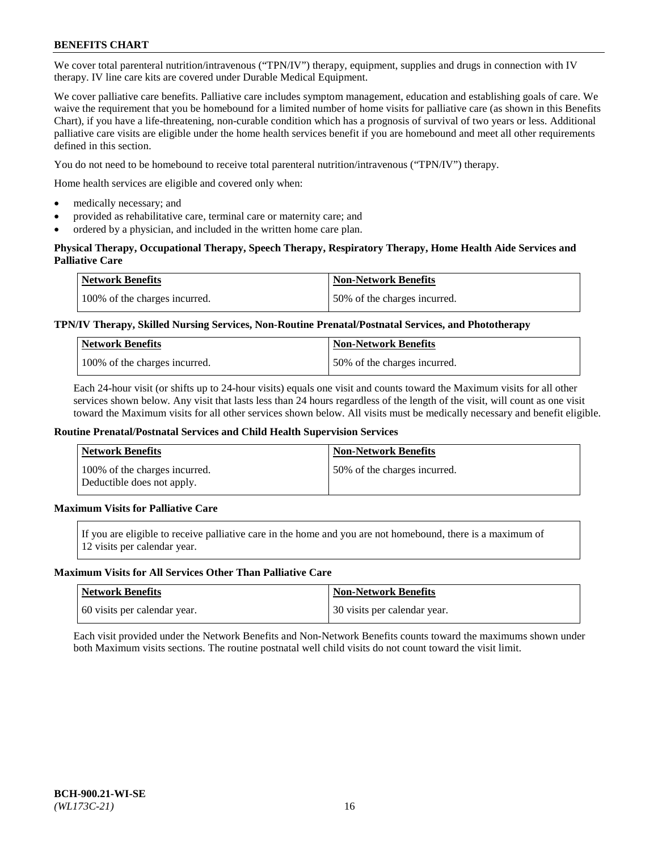We cover total parenteral nutrition/intravenous ("TPN/IV") therapy, equipment, supplies and drugs in connection with IV therapy. IV line care kits are covered under Durable Medical Equipment.

We cover palliative care benefits. Palliative care includes symptom management, education and establishing goals of care. We waive the requirement that you be homebound for a limited number of home visits for palliative care (as shown in this Benefits Chart), if you have a life-threatening, non-curable condition which has a prognosis of survival of two years or less. Additional palliative care visits are eligible under the home health services benefit if you are homebound and meet all other requirements defined in this section.

You do not need to be homebound to receive total parenteral nutrition/intravenous ("TPN/IV") therapy.

Home health services are eligible and covered only when:

- medically necessary; and
- provided as rehabilitative care, terminal care or maternity care; and
- ordered by a physician, and included in the written home care plan.

### **Physical Therapy, Occupational Therapy, Speech Therapy, Respiratory Therapy, Home Health Aide Services and Palliative Care**

| <b>Network Benefits</b>       | <b>Non-Network Benefits</b>  |
|-------------------------------|------------------------------|
| 100% of the charges incurred. | 50% of the charges incurred. |

### **TPN/IV Therapy, Skilled Nursing Services, Non-Routine Prenatal/Postnatal Services, and Phototherapy**

| <b>Network Benefits</b>       | <b>Non-Network Benefits</b>  |
|-------------------------------|------------------------------|
| 100% of the charges incurred. | 50% of the charges incurred. |

Each 24-hour visit (or shifts up to 24-hour visits) equals one visit and counts toward the Maximum visits for all other services shown below. Any visit that lasts less than 24 hours regardless of the length of the visit, will count as one visit toward the Maximum visits for all other services shown below. All visits must be medically necessary and benefit eligible.

#### **Routine Prenatal/Postnatal Services and Child Health Supervision Services**

| <b>Network Benefits</b>                                     | <b>Non-Network Benefits</b>  |
|-------------------------------------------------------------|------------------------------|
| 100% of the charges incurred.<br>Deductible does not apply. | 50% of the charges incurred. |

## **Maximum Visits for Palliative Care**

If you are eligible to receive palliative care in the home and you are not homebound, there is a maximum of 12 visits per calendar year.

#### **Maximum Visits for All Services Other Than Palliative Care**

| Network Benefits             | <b>Non-Network Benefits</b>    |
|------------------------------|--------------------------------|
| 60 visits per calendar year. | 1 30 visits per calendar year. |

Each visit provided under the Network Benefits and Non-Network Benefits counts toward the maximums shown under both Maximum visits sections. The routine postnatal well child visits do not count toward the visit limit.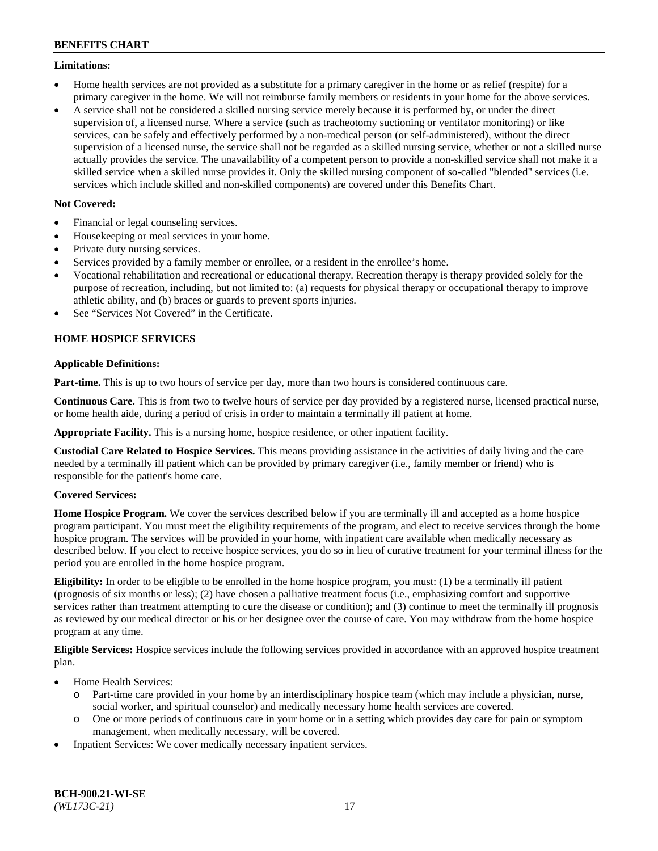### **Limitations:**

- Home health services are not provided as a substitute for a primary caregiver in the home or as relief (respite) for a primary caregiver in the home. We will not reimburse family members or residents in your home for the above services.
- A service shall not be considered a skilled nursing service merely because it is performed by, or under the direct supervision of, a licensed nurse. Where a service (such as tracheotomy suctioning or ventilator monitoring) or like services, can be safely and effectively performed by a non-medical person (or self-administered), without the direct supervision of a licensed nurse, the service shall not be regarded as a skilled nursing service, whether or not a skilled nurse actually provides the service. The unavailability of a competent person to provide a non-skilled service shall not make it a skilled service when a skilled nurse provides it. Only the skilled nursing component of so-called "blended" services (i.e. services which include skilled and non-skilled components) are covered under this Benefits Chart.

### **Not Covered:**

- Financial or legal counseling services.
- Housekeeping or meal services in your home.
- Private duty nursing services.
- Services provided by a family member or enrollee, or a resident in the enrollee's home.
- Vocational rehabilitation and recreational or educational therapy. Recreation therapy is therapy provided solely for the purpose of recreation, including, but not limited to: (a) requests for physical therapy or occupational therapy to improve athletic ability, and (b) braces or guards to prevent sports injuries.
- See "Services Not Covered" in the Certificate.

## **HOME HOSPICE SERVICES**

### **Applicable Definitions:**

**Part-time.** This is up to two hours of service per day, more than two hours is considered continuous care.

**Continuous Care.** This is from two to twelve hours of service per day provided by a registered nurse, licensed practical nurse, or home health aide, during a period of crisis in order to maintain a terminally ill patient at home.

**Appropriate Facility.** This is a nursing home, hospice residence, or other inpatient facility.

**Custodial Care Related to Hospice Services.** This means providing assistance in the activities of daily living and the care needed by a terminally ill patient which can be provided by primary caregiver (i.e., family member or friend) who is responsible for the patient's home care.

### **Covered Services:**

**Home Hospice Program.** We cover the services described below if you are terminally ill and accepted as a home hospice program participant. You must meet the eligibility requirements of the program, and elect to receive services through the home hospice program. The services will be provided in your home, with inpatient care available when medically necessary as described below. If you elect to receive hospice services, you do so in lieu of curative treatment for your terminal illness for the period you are enrolled in the home hospice program.

**Eligibility:** In order to be eligible to be enrolled in the home hospice program, you must: (1) be a terminally ill patient (prognosis of six months or less); (2) have chosen a palliative treatment focus (i.e., emphasizing comfort and supportive services rather than treatment attempting to cure the disease or condition); and (3) continue to meet the terminally ill prognosis as reviewed by our medical director or his or her designee over the course of care. You may withdraw from the home hospice program at any time.

**Eligible Services:** Hospice services include the following services provided in accordance with an approved hospice treatment plan.

- Home Health Services:
	- o Part-time care provided in your home by an interdisciplinary hospice team (which may include a physician, nurse, social worker, and spiritual counselor) and medically necessary home health services are covered.
	- o One or more periods of continuous care in your home or in a setting which provides day care for pain or symptom management, when medically necessary, will be covered.
- Inpatient Services: We cover medically necessary inpatient services.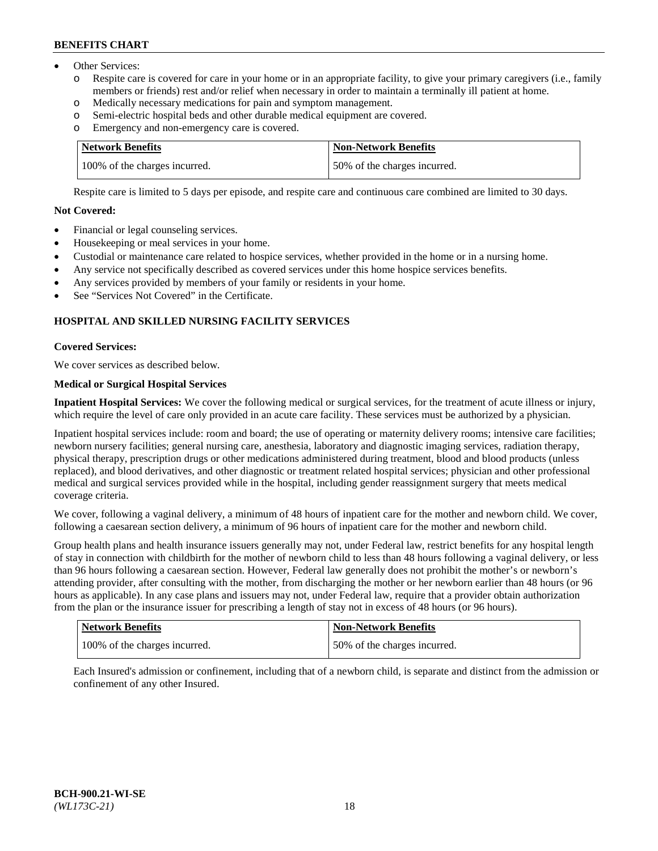- Other Services:
	- Respite care is covered for care in your home or in an appropriate facility, to give your primary caregivers (i.e., family members or friends) rest and/or relief when necessary in order to maintain a terminally ill patient at home.
	- o Medically necessary medications for pain and symptom management.
	- o Semi-electric hospital beds and other durable medical equipment are covered.
	- Emergency and non-emergency care is covered.

| Network Benefits              | <b>Non-Network Benefits</b>  |
|-------------------------------|------------------------------|
| 100% of the charges incurred. | 50% of the charges incurred. |

Respite care is limited to 5 days per episode, and respite care and continuous care combined are limited to 30 days.

### **Not Covered:**

- Financial or legal counseling services.
- Housekeeping or meal services in your home.
- Custodial or maintenance care related to hospice services, whether provided in the home or in a nursing home.
- Any service not specifically described as covered services under this home hospice services benefits.
- Any services provided by members of your family or residents in your home.
- See "Services Not Covered" in the Certificate.

## **HOSPITAL AND SKILLED NURSING FACILITY SERVICES**

### **Covered Services:**

We cover services as described below.

## **Medical or Surgical Hospital Services**

**Inpatient Hospital Services:** We cover the following medical or surgical services, for the treatment of acute illness or injury, which require the level of care only provided in an acute care facility. These services must be authorized by a physician.

Inpatient hospital services include: room and board; the use of operating or maternity delivery rooms; intensive care facilities; newborn nursery facilities; general nursing care, anesthesia, laboratory and diagnostic imaging services, radiation therapy, physical therapy, prescription drugs or other medications administered during treatment, blood and blood products (unless replaced), and blood derivatives, and other diagnostic or treatment related hospital services; physician and other professional medical and surgical services provided while in the hospital, including gender reassignment surgery that meets medical coverage criteria.

We cover, following a vaginal delivery, a minimum of 48 hours of inpatient care for the mother and newborn child. We cover, following a caesarean section delivery, a minimum of 96 hours of inpatient care for the mother and newborn child.

Group health plans and health insurance issuers generally may not, under Federal law, restrict benefits for any hospital length of stay in connection with childbirth for the mother of newborn child to less than 48 hours following a vaginal delivery, or less than 96 hours following a caesarean section. However, Federal law generally does not prohibit the mother's or newborn's attending provider, after consulting with the mother, from discharging the mother or her newborn earlier than 48 hours (or 96 hours as applicable). In any case plans and issuers may not, under Federal law, require that a provider obtain authorization from the plan or the insurance issuer for prescribing a length of stay not in excess of 48 hours (or 96 hours).

| Network Benefits              | Non-Network Benefits         |
|-------------------------------|------------------------------|
| 100% of the charges incurred. | 50% of the charges incurred. |

Each Insured's admission or confinement, including that of a newborn child, is separate and distinct from the admission or confinement of any other Insured.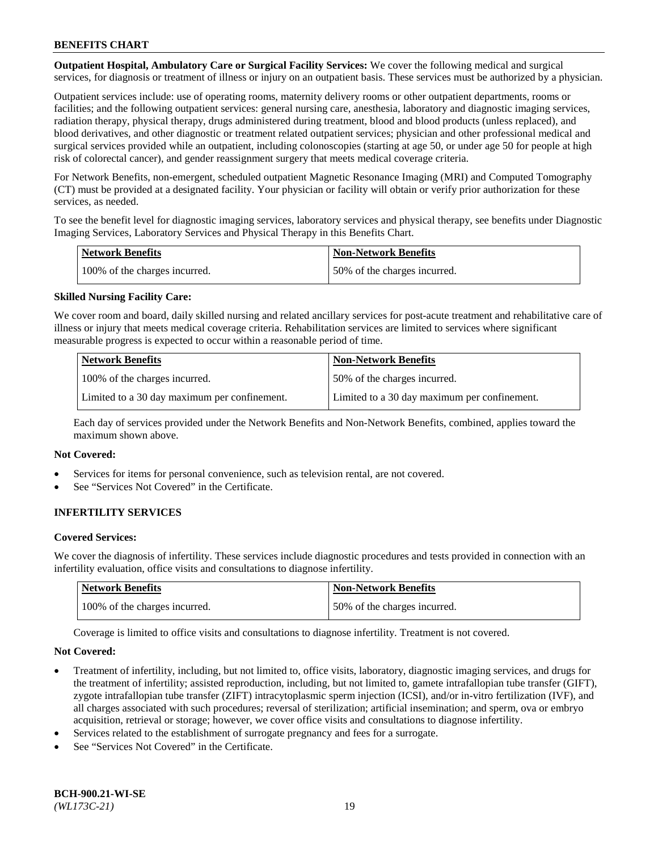**Outpatient Hospital, Ambulatory Care or Surgical Facility Services:** We cover the following medical and surgical services, for diagnosis or treatment of illness or injury on an outpatient basis. These services must be authorized by a physician.

Outpatient services include: use of operating rooms, maternity delivery rooms or other outpatient departments, rooms or facilities; and the following outpatient services: general nursing care, anesthesia, laboratory and diagnostic imaging services, radiation therapy, physical therapy, drugs administered during treatment, blood and blood products (unless replaced), and blood derivatives, and other diagnostic or treatment related outpatient services; physician and other professional medical and surgical services provided while an outpatient, including colonoscopies (starting at age 50, or under age 50 for people at high risk of colorectal cancer), and gender reassignment surgery that meets medical coverage criteria.

For Network Benefits, non-emergent, scheduled outpatient Magnetic Resonance Imaging (MRI) and Computed Tomography (CT) must be provided at a designated facility. Your physician or facility will obtain or verify prior authorization for these services, as needed.

To see the benefit level for diagnostic imaging services, laboratory services and physical therapy, see benefits under Diagnostic Imaging Services, Laboratory Services and Physical Therapy in this Benefits Chart.

| <b>Network Benefits</b>       | <b>Non-Network Benefits</b>  |
|-------------------------------|------------------------------|
| 100% of the charges incurred. | 50% of the charges incurred. |

### **Skilled Nursing Facility Care:**

We cover room and board, daily skilled nursing and related ancillary services for post-acute treatment and rehabilitative care of illness or injury that meets medical coverage criteria. Rehabilitation services are limited to services where significant measurable progress is expected to occur within a reasonable period of time.

| <b>Network Benefits</b>                      | <b>Non-Network Benefits</b>                  |
|----------------------------------------------|----------------------------------------------|
| 100% of the charges incurred.                | 150% of the charges incurred.                |
| Limited to a 30 day maximum per confinement. | Limited to a 30 day maximum per confinement. |

Each day of services provided under the Network Benefits and Non-Network Benefits, combined, applies toward the maximum shown above.

#### **Not Covered:**

- Services for items for personal convenience, such as television rental, are not covered.
- See "Services Not Covered" in the Certificate.

### **INFERTILITY SERVICES**

#### **Covered Services:**

We cover the diagnosis of infertility. These services include diagnostic procedures and tests provided in connection with an infertility evaluation, office visits and consultations to diagnose infertility.

| <b>Network Benefits</b>       | <b>Non-Network Benefits</b>  |
|-------------------------------|------------------------------|
| 100% of the charges incurred. | 50% of the charges incurred. |

Coverage is limited to office visits and consultations to diagnose infertility. Treatment is not covered.

#### **Not Covered:**

- Treatment of infertility, including, but not limited to, office visits, laboratory, diagnostic imaging services, and drugs for the treatment of infertility; assisted reproduction, including, but not limited to, gamete intrafallopian tube transfer (GIFT), zygote intrafallopian tube transfer (ZIFT) intracytoplasmic sperm injection (ICSI), and/or in-vitro fertilization (IVF), and all charges associated with such procedures; reversal of sterilization; artificial insemination; and sperm, ova or embryo acquisition, retrieval or storage; however, we cover office visits and consultations to diagnose infertility.
- Services related to the establishment of surrogate pregnancy and fees for a surrogate.
- See "Services Not Covered" in the Certificate.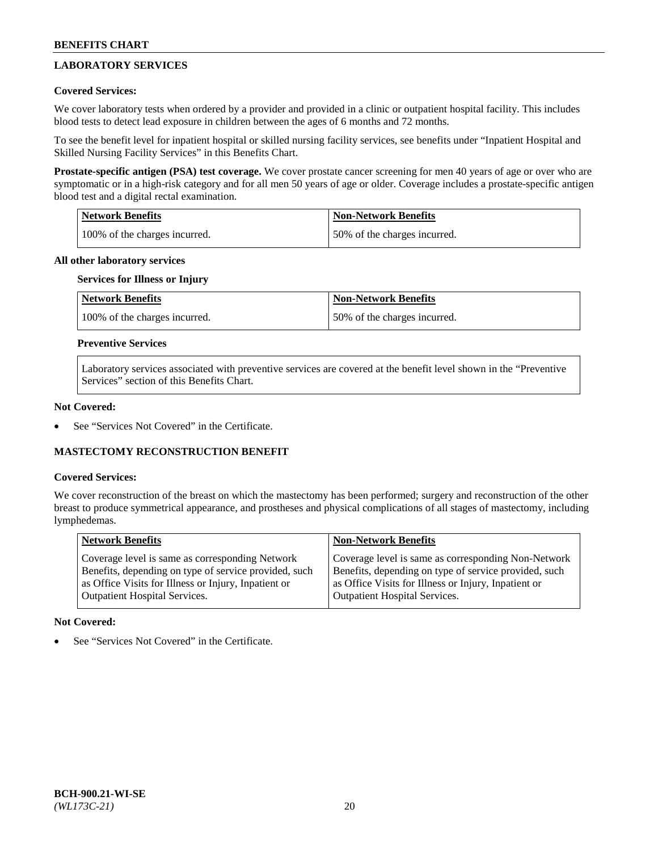## **LABORATORY SERVICES**

### **Covered Services:**

We cover laboratory tests when ordered by a provider and provided in a clinic or outpatient hospital facility. This includes blood tests to detect lead exposure in children between the ages of 6 months and 72 months.

To see the benefit level for inpatient hospital or skilled nursing facility services, see benefits under "Inpatient Hospital and Skilled Nursing Facility Services" in this Benefits Chart.

**Prostate-specific antigen (PSA) test coverage.** We cover prostate cancer screening for men 40 years of age or over who are symptomatic or in a high-risk category and for all men 50 years of age or older. Coverage includes a prostate-specific antigen blood test and a digital rectal examination.

| Network Benefits              | <b>Non-Network Benefits</b>  |
|-------------------------------|------------------------------|
| 100% of the charges incurred. | 50% of the charges incurred. |

### **All other laboratory services**

## **Services for Illness or Injury**

| <b>Network Benefits</b>       | <b>Non-Network Benefits</b>  |
|-------------------------------|------------------------------|
| 100% of the charges incurred. | 50% of the charges incurred. |

### **Preventive Services**

Laboratory services associated with preventive services are covered at the benefit level shown in the "Preventive Services" section of this Benefits Chart.

### **Not Covered:**

See "Services Not Covered" in the Certificate.

### **MASTECTOMY RECONSTRUCTION BENEFIT**

#### **Covered Services:**

We cover reconstruction of the breast on which the mastectomy has been performed; surgery and reconstruction of the other breast to produce symmetrical appearance, and prostheses and physical complications of all stages of mastectomy, including lymphedemas.

| <b>Network Benefits</b>                               | <b>Non-Network Benefits</b>                           |
|-------------------------------------------------------|-------------------------------------------------------|
| Coverage level is same as corresponding Network       | Coverage level is same as corresponding Non-Network   |
| Benefits, depending on type of service provided, such | Benefits, depending on type of service provided, such |
| as Office Visits for Illness or Injury, Inpatient or  | as Office Visits for Illness or Injury, Inpatient or  |
| Outpatient Hospital Services.                         | <b>Outpatient Hospital Services.</b>                  |

#### **Not Covered:**

See "Services Not Covered" in the Certificate.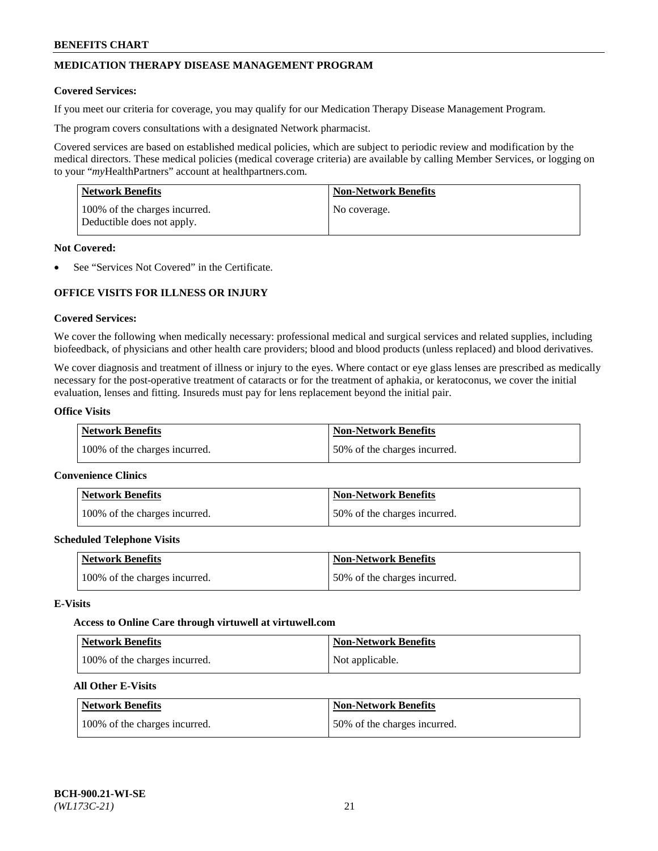## **MEDICATION THERAPY DISEASE MANAGEMENT PROGRAM**

### **Covered Services:**

If you meet our criteria for coverage, you may qualify for our Medication Therapy Disease Management Program.

The program covers consultations with a designated Network pharmacist.

Covered services are based on established medical policies, which are subject to periodic review and modification by the medical directors. These medical policies (medical coverage criteria) are available by calling Member Services, or logging on to your "*my*HealthPartners" account at [healthpartners.com.](http://www.healthpartners.com/)

| Network Benefits                                            | <b>Non-Network Benefits</b> |
|-------------------------------------------------------------|-----------------------------|
| 100% of the charges incurred.<br>Deductible does not apply. | No coverage.                |

### **Not Covered:**

See "Services Not Covered" in the Certificate.

## **OFFICE VISITS FOR ILLNESS OR INJURY**

### **Covered Services:**

We cover the following when medically necessary: professional medical and surgical services and related supplies, including biofeedback, of physicians and other health care providers; blood and blood products (unless replaced) and blood derivatives.

We cover diagnosis and treatment of illness or injury to the eyes. Where contact or eye glass lenses are prescribed as medically necessary for the post-operative treatment of cataracts or for the treatment of aphakia, or keratoconus, we cover the initial evaluation, lenses and fitting. Insureds must pay for lens replacement beyond the initial pair.

## **Office Visits**

| Network Benefits              | <b>Non-Network Benefits</b>  |
|-------------------------------|------------------------------|
| 100% of the charges incurred. | 50% of the charges incurred. |

#### **Convenience Clinics**

| Network Benefits              | <b>Non-Network Benefits</b>  |
|-------------------------------|------------------------------|
| 100% of the charges incurred. | 50% of the charges incurred. |

#### **Scheduled Telephone Visits**

| <b>Network Benefits</b>       | Non-Network Benefits         |
|-------------------------------|------------------------------|
| 100% of the charges incurred. | 50% of the charges incurred. |

#### **E-Visits**

#### **Access to Online Care through virtuwell a[t virtuwell.com](https://www.virtuwell.com/)**

| <b>Network Benefits</b>       | <b>Non-Network Benefits</b> |
|-------------------------------|-----------------------------|
| 100% of the charges incurred. | Not applicable.             |

## **All Other E-Visits**

| <b>Network Benefits</b>       | <b>Non-Network Benefits</b>  |
|-------------------------------|------------------------------|
| 100% of the charges incurred. | 50% of the charges incurred. |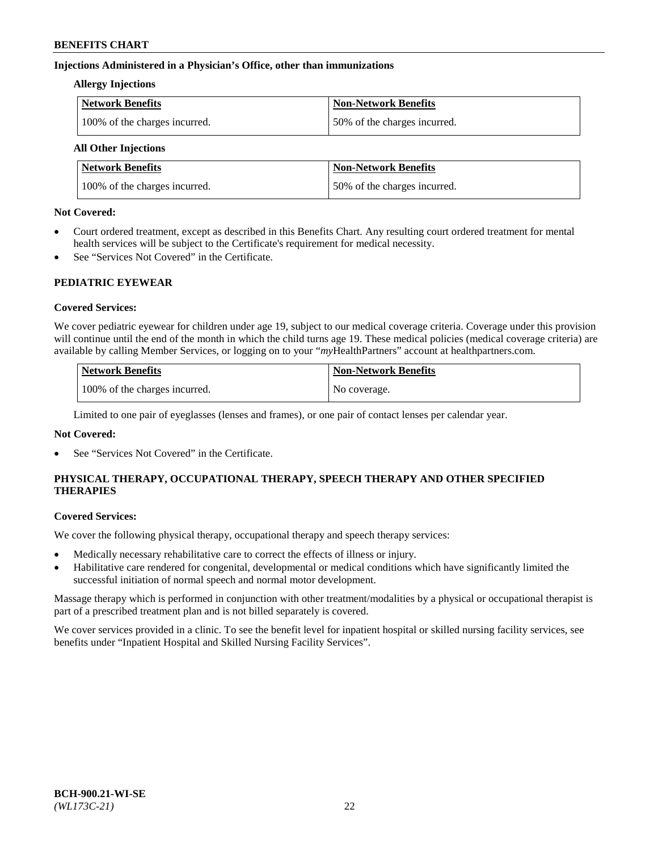### **Injections Administered in a Physician's Office, other than immunizations**

### **Allergy Injections**

| Network Benefits              | <b>Non-Network Benefits</b>  |
|-------------------------------|------------------------------|
| 100% of the charges incurred. | 50% of the charges incurred. |

## **All Other Injections**

| <b>Network Benefits</b>       | <b>Non-Network Benefits</b>  |
|-------------------------------|------------------------------|
| 100% of the charges incurred. | 50% of the charges incurred. |

### **Not Covered:**

- Court ordered treatment, except as described in this Benefits Chart. Any resulting court ordered treatment for mental health services will be subject to the Certificate's requirement for medical necessity.
- See "Services Not Covered" in the Certificate.

### **PEDIATRIC EYEWEAR**

### **Covered Services:**

We cover pediatric eyewear for children under age 19, subject to our medical coverage criteria. Coverage under this provision will continue until the end of the month in which the child turns age 19. These medical policies (medical coverage criteria) are available by calling Member Services, or logging on to your "*my*HealthPartners" account a[t healthpartners.com.](https://www.healthpartners.com/hp/index.html)

| Network Benefits              | <b>Non-Network Benefits</b> |
|-------------------------------|-----------------------------|
| 100% of the charges incurred. | No coverage.                |

Limited to one pair of eyeglasses (lenses and frames), or one pair of contact lenses per calendar year.

### **Not Covered:**

See "Services Not Covered" in the Certificate.

## **PHYSICAL THERAPY, OCCUPATIONAL THERAPY, SPEECH THERAPY AND OTHER SPECIFIED THERAPIES**

#### **Covered Services:**

We cover the following physical therapy, occupational therapy and speech therapy services:

- Medically necessary rehabilitative care to correct the effects of illness or injury.
- Habilitative care rendered for congenital, developmental or medical conditions which have significantly limited the successful initiation of normal speech and normal motor development.

Massage therapy which is performed in conjunction with other treatment/modalities by a physical or occupational therapist is part of a prescribed treatment plan and is not billed separately is covered.

We cover services provided in a clinic. To see the benefit level for inpatient hospital or skilled nursing facility services, see benefits under "Inpatient Hospital and Skilled Nursing Facility Services".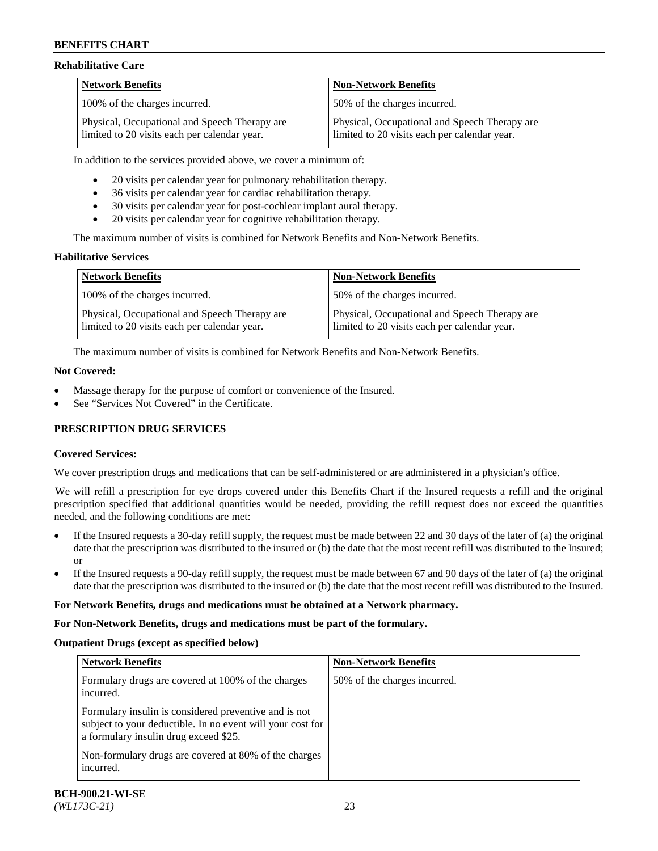### **Rehabilitative Care**

| <b>Network Benefits</b>                                                                       | <b>Non-Network Benefits</b>                                                                   |
|-----------------------------------------------------------------------------------------------|-----------------------------------------------------------------------------------------------|
| 100% of the charges incurred.                                                                 | 50% of the charges incurred.                                                                  |
| Physical, Occupational and Speech Therapy are<br>limited to 20 visits each per calendar year. | Physical, Occupational and Speech Therapy are<br>limited to 20 visits each per calendar year. |

In addition to the services provided above, we cover a minimum of:

- 20 visits per calendar year for pulmonary rehabilitation therapy.
- 36 visits per calendar year for cardiac rehabilitation therapy.
- 30 visits per calendar year for post-cochlear implant aural therapy.
- 20 visits per calendar year for cognitive rehabilitation therapy.

The maximum number of visits is combined for Network Benefits and Non-Network Benefits.

### **Habilitative Services**

| <b>Network Benefits</b>                                                                       | <b>Non-Network Benefits</b>                                                                   |
|-----------------------------------------------------------------------------------------------|-----------------------------------------------------------------------------------------------|
| 100% of the charges incurred.                                                                 | 50% of the charges incurred.                                                                  |
| Physical, Occupational and Speech Therapy are<br>limited to 20 visits each per calendar year. | Physical, Occupational and Speech Therapy are<br>limited to 20 visits each per calendar year. |

The maximum number of visits is combined for Network Benefits and Non-Network Benefits.

### **Not Covered:**

- Massage therapy for the purpose of comfort or convenience of the Insured.
- See "Services Not Covered" in the Certificate.

### **PRESCRIPTION DRUG SERVICES**

### **Covered Services:**

We cover prescription drugs and medications that can be self-administered or are administered in a physician's office.

We will refill a prescription for eye drops covered under this Benefits Chart if the Insured requests a refill and the original prescription specified that additional quantities would be needed, providing the refill request does not exceed the quantities needed, and the following conditions are met:

- If the Insured requests a 30-day refill supply, the request must be made between 22 and 30 days of the later of (a) the original date that the prescription was distributed to the insured or (b) the date that the most recent refill was distributed to the Insured; or
- If the Insured requests a 90-day refill supply, the request must be made between 67 and 90 days of the later of (a) the original date that the prescription was distributed to the insured or (b) the date that the most recent refill was distributed to the Insured.

#### **For Network Benefits, drugs and medications must be obtained at a Network pharmacy.**

#### **For Non-Network Benefits, drugs and medications must be part of the formulary.**

#### **Outpatient Drugs (except as specified below)**

| <b>Network Benefits</b>                                                                                                                                      | <b>Non-Network Benefits</b>  |
|--------------------------------------------------------------------------------------------------------------------------------------------------------------|------------------------------|
| Formulary drugs are covered at 100% of the charges<br>incurred.                                                                                              | 50% of the charges incurred. |
| Formulary insulin is considered preventive and is not<br>subject to your deductible. In no event will your cost for<br>a formulary insulin drug exceed \$25. |                              |
| Non-formulary drugs are covered at 80% of the charges<br>incurred.                                                                                           |                              |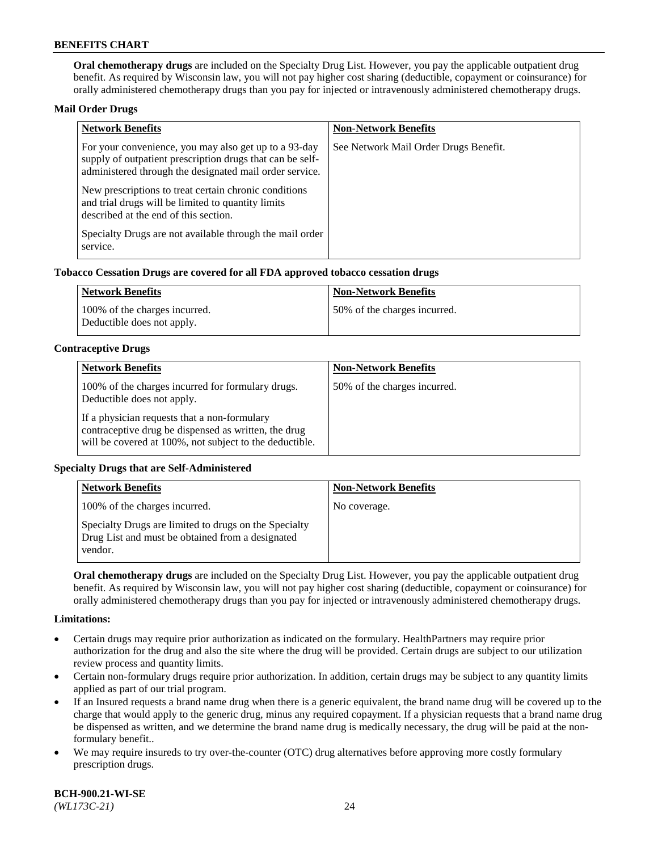**Oral chemotherapy drugs** are included on the Specialty Drug List. However, you pay the applicable outpatient drug benefit. As required by Wisconsin law, you will not pay higher cost sharing (deductible, copayment or coinsurance) for orally administered chemotherapy drugs than you pay for injected or intravenously administered chemotherapy drugs.

### **Mail Order Drugs**

| <b>Network Benefits</b>                                                                                                                                                       | <b>Non-Network Benefits</b>           |
|-------------------------------------------------------------------------------------------------------------------------------------------------------------------------------|---------------------------------------|
| For your convenience, you may also get up to a 93-day<br>supply of outpatient prescription drugs that can be self-<br>administered through the designated mail order service. | See Network Mail Order Drugs Benefit. |
| New prescriptions to treat certain chronic conditions<br>and trial drugs will be limited to quantity limits<br>described at the end of this section.                          |                                       |
| Specialty Drugs are not available through the mail order<br>service.                                                                                                          |                                       |

### **Tobacco Cessation Drugs are covered for all FDA approved tobacco cessation drugs**

| Network Benefits                                            | Non-Network Benefits         |
|-------------------------------------------------------------|------------------------------|
| 100% of the charges incurred.<br>Deductible does not apply. | 50% of the charges incurred. |

### **Contraceptive Drugs**

| <b>Network Benefits</b>                                                                                                                                         | <b>Non-Network Benefits</b>  |
|-----------------------------------------------------------------------------------------------------------------------------------------------------------------|------------------------------|
| 100% of the charges incurred for formulary drugs.<br>Deductible does not apply.                                                                                 | 50% of the charges incurred. |
| If a physician requests that a non-formulary<br>contraceptive drug be dispensed as written, the drug<br>will be covered at 100%, not subject to the deductible. |                              |

### **Specialty Drugs that are Self-Administered**

| <b>Network Benefits</b>                                                                                              | <b>Non-Network Benefits</b> |
|----------------------------------------------------------------------------------------------------------------------|-----------------------------|
| 100% of the charges incurred.                                                                                        | No coverage.                |
| Specialty Drugs are limited to drugs on the Specialty<br>Drug List and must be obtained from a designated<br>vendor. |                             |

**Oral chemotherapy drugs** are included on the Specialty Drug List. However, you pay the applicable outpatient drug benefit. As required by Wisconsin law, you will not pay higher cost sharing (deductible, copayment or coinsurance) for orally administered chemotherapy drugs than you pay for injected or intravenously administered chemotherapy drugs.

#### **Limitations:**

- Certain drugs may require prior authorization as indicated on the formulary. HealthPartners may require prior authorization for the drug and also the site where the drug will be provided. Certain drugs are subject to our utilization review process and quantity limits.
- Certain non-formulary drugs require prior authorization. In addition, certain drugs may be subject to any quantity limits applied as part of our trial program.
- If an Insured requests a brand name drug when there is a generic equivalent, the brand name drug will be covered up to the charge that would apply to the generic drug, minus any required copayment. If a physician requests that a brand name drug be dispensed as written, and we determine the brand name drug is medically necessary, the drug will be paid at the nonformulary benefit..
- We may require insureds to try over-the-counter (OTC) drug alternatives before approving more costly formulary prescription drugs.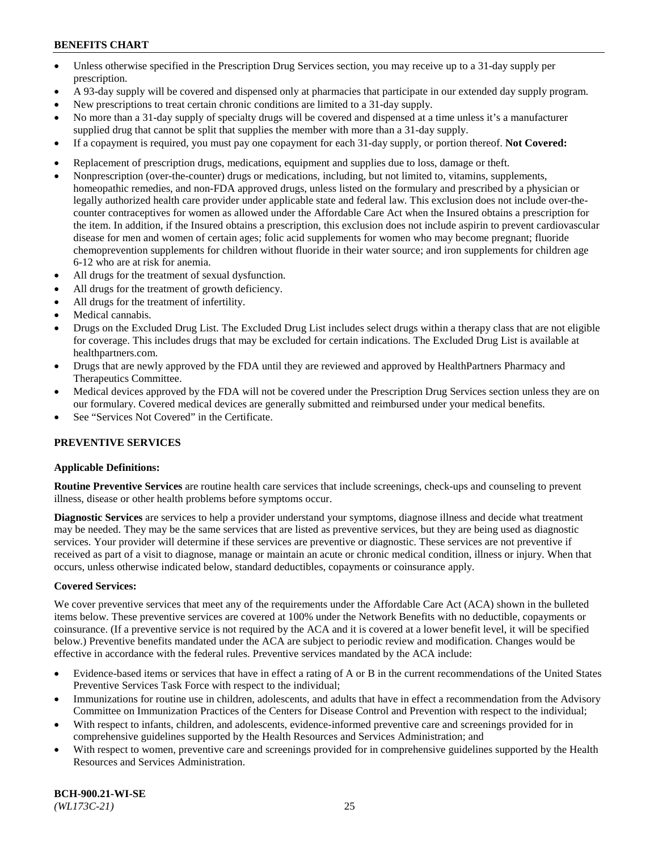- Unless otherwise specified in the Prescription Drug Services section, you may receive up to a 31-day supply per prescription.
- A 93-day supply will be covered and dispensed only at pharmacies that participate in our extended day supply program.
- New prescriptions to treat certain chronic conditions are limited to a 31-day supply.
- No more than a 31-day supply of specialty drugs will be covered and dispensed at a time unless it's a manufacturer supplied drug that cannot be split that supplies the member with more than a 31-day supply.
- If a copayment is required, you must pay one copayment for each 31-day supply, or portion thereof. **Not Covered:**
- Replacement of prescription drugs, medications, equipment and supplies due to loss, damage or theft.
- Nonprescription (over-the-counter) drugs or medications, including, but not limited to, vitamins, supplements, homeopathic remedies, and non-FDA approved drugs, unless listed on the formulary and prescribed by a physician or legally authorized health care provider under applicable state and federal law. This exclusion does not include over-thecounter contraceptives for women as allowed under the Affordable Care Act when the Insured obtains a prescription for the item. In addition, if the Insured obtains a prescription, this exclusion does not include aspirin to prevent cardiovascular disease for men and women of certain ages; folic acid supplements for women who may become pregnant; fluoride chemoprevention supplements for children without fluoride in their water source; and iron supplements for children age 6-12 who are at risk for anemia.
- All drugs for the treatment of sexual dysfunction.
- All drugs for the treatment of growth deficiency.
- All drugs for the treatment of infertility.
- Medical cannabis.
- Drugs on the Excluded Drug List. The Excluded Drug List includes select drugs within a therapy class that are not eligible for coverage. This includes drugs that may be excluded for certain indications. The Excluded Drug List is available at [healthpartners.com.](http://www.healthpartners.com/)
- Drugs that are newly approved by the FDA until they are reviewed and approved by HealthPartners Pharmacy and Therapeutics Committee.
- Medical devices approved by the FDA will not be covered under the Prescription Drug Services section unless they are on our formulary. Covered medical devices are generally submitted and reimbursed under your medical benefits.
- See "Services Not Covered" in the Certificate.

### **PREVENTIVE SERVICES**

#### **Applicable Definitions:**

**Routine Preventive Services** are routine health care services that include screenings, check-ups and counseling to prevent illness, disease or other health problems before symptoms occur.

**Diagnostic Services** are services to help a provider understand your symptoms, diagnose illness and decide what treatment may be needed. They may be the same services that are listed as preventive services, but they are being used as diagnostic services. Your provider will determine if these services are preventive or diagnostic. These services are not preventive if received as part of a visit to diagnose, manage or maintain an acute or chronic medical condition, illness or injury. When that occurs, unless otherwise indicated below, standard deductibles, copayments or coinsurance apply.

#### **Covered Services:**

We cover preventive services that meet any of the requirements under the Affordable Care Act (ACA) shown in the bulleted items below. These preventive services are covered at 100% under the Network Benefits with no deductible, copayments or coinsurance. (If a preventive service is not required by the ACA and it is covered at a lower benefit level, it will be specified below.) Preventive benefits mandated under the ACA are subject to periodic review and modification. Changes would be effective in accordance with the federal rules. Preventive services mandated by the ACA include:

- Evidence-based items or services that have in effect a rating of A or B in the current recommendations of the United States Preventive Services Task Force with respect to the individual;
- Immunizations for routine use in children, adolescents, and adults that have in effect a recommendation from the Advisory Committee on Immunization Practices of the Centers for Disease Control and Prevention with respect to the individual;
- With respect to infants, children, and adolescents, evidence-informed preventive care and screenings provided for in comprehensive guidelines supported by the Health Resources and Services Administration; and
- With respect to women, preventive care and screenings provided for in comprehensive guidelines supported by the Health Resources and Services Administration.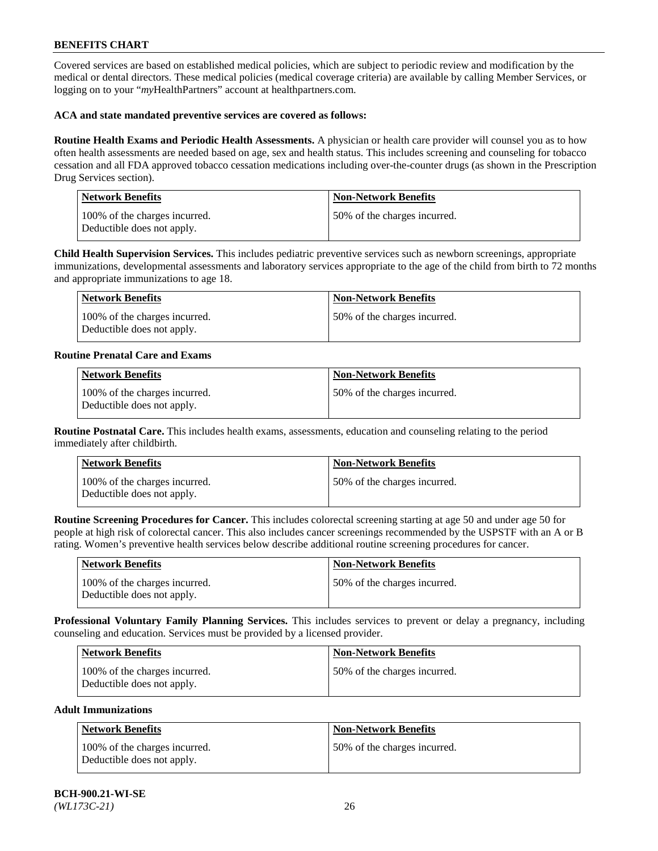Covered services are based on established medical policies, which are subject to periodic review and modification by the medical or dental directors. These medical policies (medical coverage criteria) are available by calling Member Services, or logging on to your "*my*HealthPartners" account at [healthpartners.com.](https://www.healthpartners.com/hp/index.html)

### **ACA and state mandated preventive services are covered as follows:**

**Routine Health Exams and Periodic Health Assessments.** A physician or health care provider will counsel you as to how often health assessments are needed based on age, sex and health status. This includes screening and counseling for tobacco cessation and all FDA approved tobacco cessation medications including over-the-counter drugs (as shown in the Prescription Drug Services section).

| <b>Network Benefits</b>                                     | <b>Non-Network Benefits</b>  |
|-------------------------------------------------------------|------------------------------|
| 100% of the charges incurred.<br>Deductible does not apply. | 50% of the charges incurred. |

**Child Health Supervision Services.** This includes pediatric preventive services such as newborn screenings, appropriate immunizations, developmental assessments and laboratory services appropriate to the age of the child from birth to 72 months and appropriate immunizations to age 18.

| Network Benefits                                            | Non-Network Benefits         |
|-------------------------------------------------------------|------------------------------|
| 100% of the charges incurred.<br>Deductible does not apply. | 50% of the charges incurred. |

### **Routine Prenatal Care and Exams**

| <b>Network Benefits</b>                                     | <b>Non-Network Benefits</b>  |
|-------------------------------------------------------------|------------------------------|
| 100% of the charges incurred.<br>Deductible does not apply. | 50% of the charges incurred. |

**Routine Postnatal Care.** This includes health exams, assessments, education and counseling relating to the period immediately after childbirth.

| Network Benefits                                            | <b>Non-Network Benefits</b>  |
|-------------------------------------------------------------|------------------------------|
| 100% of the charges incurred.<br>Deductible does not apply. | 50% of the charges incurred. |

**Routine Screening Procedures for Cancer.** This includes colorectal screening starting at age 50 and under age 50 for people at high risk of colorectal cancer. This also includes cancer screenings recommended by the USPSTF with an A or B rating. Women's preventive health services below describe additional routine screening procedures for cancer.

| <b>Network Benefits</b>                                     | Non-Network Benefits         |
|-------------------------------------------------------------|------------------------------|
| 100% of the charges incurred.<br>Deductible does not apply. | 50% of the charges incurred. |

**Professional Voluntary Family Planning Services.** This includes services to prevent or delay a pregnancy, including counseling and education. Services must be provided by a licensed provider.

| <b>Network Benefits</b>                                     | <b>Non-Network Benefits</b>   |
|-------------------------------------------------------------|-------------------------------|
| 100% of the charges incurred.<br>Deductible does not apply. | 150% of the charges incurred. |

### **Adult Immunizations**

| <b>Network Benefits</b>                                     | <b>Non-Network Benefits</b>  |
|-------------------------------------------------------------|------------------------------|
| 100% of the charges incurred.<br>Deductible does not apply. | 50% of the charges incurred. |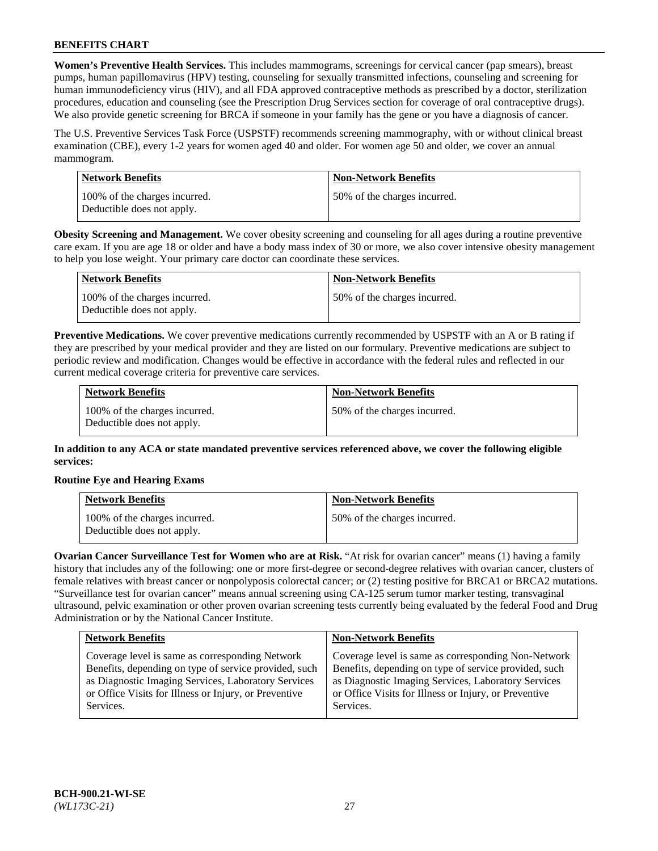**Women's Preventive Health Services.** This includes mammograms, screenings for cervical cancer (pap smears), breast pumps, human papillomavirus (HPV) testing, counseling for sexually transmitted infections, counseling and screening for human immunodeficiency virus (HIV), and all FDA approved contraceptive methods as prescribed by a doctor, sterilization procedures, education and counseling (see the Prescription Drug Services section for coverage of oral contraceptive drugs). We also provide genetic screening for BRCA if someone in your family has the gene or you have a diagnosis of cancer.

The U.S. Preventive Services Task Force (USPSTF) recommends screening mammography, with or without clinical breast examination (CBE), every 1-2 years for women aged 40 and older. For women age 50 and older, we cover an annual mammogram.

| Network Benefits                                            | <b>Non-Network Benefits</b>  |
|-------------------------------------------------------------|------------------------------|
| 100% of the charges incurred.<br>Deductible does not apply. | 50% of the charges incurred. |

**Obesity Screening and Management.** We cover obesity screening and counseling for all ages during a routine preventive care exam. If you are age 18 or older and have a body mass index of 30 or more, we also cover intensive obesity management to help you lose weight. Your primary care doctor can coordinate these services.

| Network Benefits                                            | <b>Non-Network Benefits</b>  |
|-------------------------------------------------------------|------------------------------|
| 100% of the charges incurred.<br>Deductible does not apply. | 50% of the charges incurred. |

**Preventive Medications.** We cover preventive medications currently recommended by USPSTF with an A or B rating if they are prescribed by your medical provider and they are listed on our formulary. Preventive medications are subject to periodic review and modification. Changes would be effective in accordance with the federal rules and reflected in our current medical coverage criteria for preventive care services.

| <b>Network Benefits</b>                                     | <b>Non-Network Benefits</b>  |
|-------------------------------------------------------------|------------------------------|
| 100% of the charges incurred.<br>Deductible does not apply. | 50% of the charges incurred. |

**In addition to any ACA or state mandated preventive services referenced above, we cover the following eligible services:**

### **Routine Eye and Hearing Exams**

| <b>Network Benefits</b>                                     | <b>Non-Network Benefits</b>  |
|-------------------------------------------------------------|------------------------------|
| 100% of the charges incurred.<br>Deductible does not apply. | 50% of the charges incurred. |

**Ovarian Cancer Surveillance Test for Women who are at Risk.** "At risk for ovarian cancer" means (1) having a family history that includes any of the following: one or more first-degree or second-degree relatives with ovarian cancer, clusters of female relatives with breast cancer or nonpolyposis colorectal cancer; or (2) testing positive for BRCA1 or BRCA2 mutations. "Surveillance test for ovarian cancer" means annual screening using CA-125 serum tumor marker testing, transvaginal ultrasound, pelvic examination or other proven ovarian screening tests currently being evaluated by the federal Food and Drug Administration or by the National Cancer Institute.

| <b>Network Benefits</b>                               | <b>Non-Network Benefits</b>                           |
|-------------------------------------------------------|-------------------------------------------------------|
| Coverage level is same as corresponding Network       | Coverage level is same as corresponding Non-Network   |
| Benefits, depending on type of service provided, such | Benefits, depending on type of service provided, such |
| as Diagnostic Imaging Services, Laboratory Services   | as Diagnostic Imaging Services, Laboratory Services   |
| or Office Visits for Illness or Injury, or Preventive | or Office Visits for Illness or Injury, or Preventive |
| Services.                                             | Services.                                             |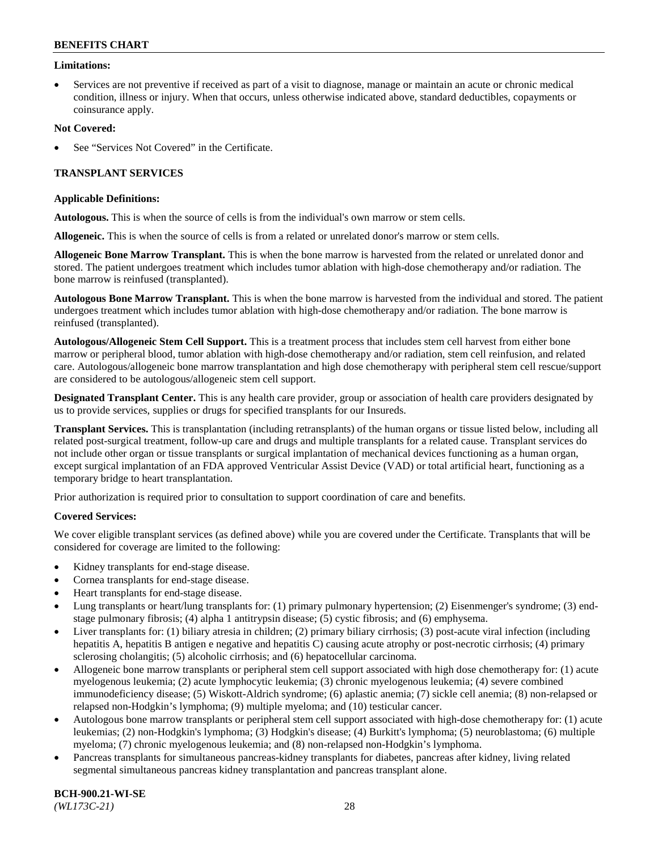### **Limitations:**

• Services are not preventive if received as part of a visit to diagnose, manage or maintain an acute or chronic medical condition, illness or injury. When that occurs, unless otherwise indicated above, standard deductibles, copayments or coinsurance apply.

### **Not Covered:**

See "Services Not Covered" in the Certificate.

### **TRANSPLANT SERVICES**

### **Applicable Definitions:**

**Autologous.** This is when the source of cells is from the individual's own marrow or stem cells.

**Allogeneic.** This is when the source of cells is from a related or unrelated donor's marrow or stem cells.

**Allogeneic Bone Marrow Transplant.** This is when the bone marrow is harvested from the related or unrelated donor and stored. The patient undergoes treatment which includes tumor ablation with high-dose chemotherapy and/or radiation. The bone marrow is reinfused (transplanted).

**Autologous Bone Marrow Transplant.** This is when the bone marrow is harvested from the individual and stored. The patient undergoes treatment which includes tumor ablation with high-dose chemotherapy and/or radiation. The bone marrow is reinfused (transplanted).

**Autologous/Allogeneic Stem Cell Support.** This is a treatment process that includes stem cell harvest from either bone marrow or peripheral blood, tumor ablation with high-dose chemotherapy and/or radiation, stem cell reinfusion, and related care. Autologous/allogeneic bone marrow transplantation and high dose chemotherapy with peripheral stem cell rescue/support are considered to be autologous/allogeneic stem cell support.

**Designated Transplant Center.** This is any health care provider, group or association of health care providers designated by us to provide services, supplies or drugs for specified transplants for our Insureds.

**Transplant Services.** This is transplantation (including retransplants) of the human organs or tissue listed below, including all related post-surgical treatment, follow-up care and drugs and multiple transplants for a related cause. Transplant services do not include other organ or tissue transplants or surgical implantation of mechanical devices functioning as a human organ, except surgical implantation of an FDA approved Ventricular Assist Device (VAD) or total artificial heart, functioning as a temporary bridge to heart transplantation.

Prior authorization is required prior to consultation to support coordination of care and benefits.

### **Covered Services:**

We cover eligible transplant services (as defined above) while you are covered under the Certificate. Transplants that will be considered for coverage are limited to the following:

- Kidney transplants for end-stage disease.
- Cornea transplants for end-stage disease.
- Heart transplants for end-stage disease.
- Lung transplants or heart/lung transplants for: (1) primary pulmonary hypertension; (2) Eisenmenger's syndrome; (3) endstage pulmonary fibrosis; (4) alpha 1 antitrypsin disease; (5) cystic fibrosis; and (6) emphysema.
- Liver transplants for: (1) biliary atresia in children; (2) primary biliary cirrhosis; (3) post-acute viral infection (including hepatitis A, hepatitis B antigen e negative and hepatitis C) causing acute atrophy or post-necrotic cirrhosis; (4) primary sclerosing cholangitis; (5) alcoholic cirrhosis; and (6) hepatocellular carcinoma.
- Allogeneic bone marrow transplants or peripheral stem cell support associated with high dose chemotherapy for: (1) acute myelogenous leukemia; (2) acute lymphocytic leukemia; (3) chronic myelogenous leukemia; (4) severe combined immunodeficiency disease; (5) Wiskott-Aldrich syndrome; (6) aplastic anemia; (7) sickle cell anemia; (8) non-relapsed or relapsed non-Hodgkin's lymphoma; (9) multiple myeloma; and (10) testicular cancer.
- Autologous bone marrow transplants or peripheral stem cell support associated with high-dose chemotherapy for: (1) acute leukemias; (2) non-Hodgkin's lymphoma; (3) Hodgkin's disease; (4) Burkitt's lymphoma; (5) neuroblastoma; (6) multiple myeloma; (7) chronic myelogenous leukemia; and (8) non-relapsed non-Hodgkin's lymphoma.
- Pancreas transplants for simultaneous pancreas-kidney transplants for diabetes, pancreas after kidney, living related segmental simultaneous pancreas kidney transplantation and pancreas transplant alone.